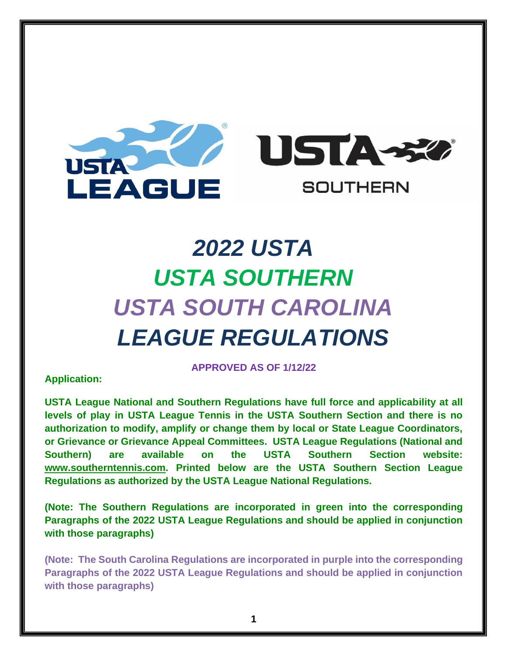

# *2022 USTA USTA SOUTHERN USTA SOUTH CAROLINA LEAGUE REGULATIONS*

# **Application:**

**APPROVED AS OF 1/12/22**

**USTA League National and Southern Regulations have full force and applicability at all levels of play in USTA League Tennis in the USTA Southern Section and there is no authorization to modify, amplify or change them by local or State League Coordinators, or Grievance or Grievance Appeal Committees. USTA League Regulations (National and Southern) are available on the USTA Southern Section website: [www.southerntennis.com.](http://www.southerntennis.com/) Printed below are the USTA Southern Section League Regulations as authorized by the USTA League National Regulations.**

**(Note: The Southern Regulations are incorporated in green into the corresponding Paragraphs of the 2022 USTA League Regulations and should be applied in conjunction with those paragraphs)** 

**(Note: The South Carolina Regulations are incorporated in purple into the corresponding Paragraphs of the 2022 USTA League Regulations and should be applied in conjunction with those paragraphs)**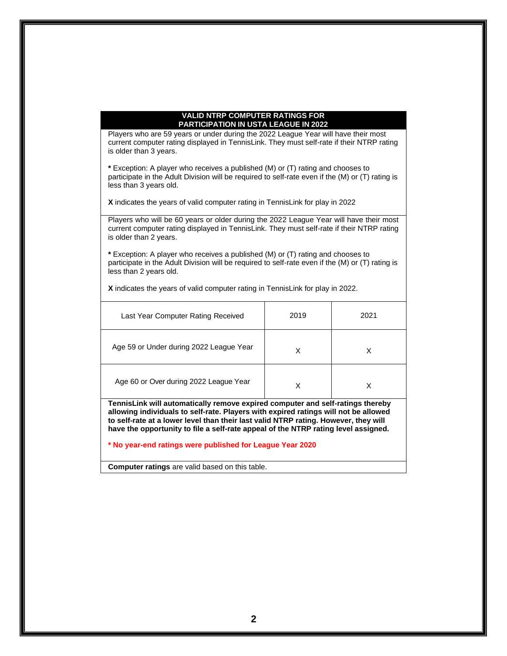#### **VALID NTRP COMPUTER RATINGS FOR PARTICIPATION IN USTA LEAGUE IN 2022**

Players who are 59 years or under during the 2022 League Year will have their most current computer rating displayed in TennisLink. They must self-rate if their NTRP rating is older than 3 years.

**\*** Exception: A player who receives a published (M) or (T) rating and chooses to participate in the Adult Division will be required to self-rate even if the (M) or (T) rating is less than 3 years old.

**X** indicates the years of valid computer rating in TennisLink for play in 2022

Players who will be 60 years or older during the 2022 League Year will have their most current computer rating displayed in TennisLink. They must self-rate if their NTRP rating is older than 2 years.

**\*** Exception: A player who receives a published (M) or (T) rating and chooses to participate in the Adult Division will be required to self-rate even if the (M) or (T) rating is less than 2 years old.

**X** indicates the years of valid computer rating in TennisLink for play in 2022.

| Last Year Computer Rating Received                                                                                                                                                                                                                                                                                                                                                                              | 2019 | 2021 |  |  |  |
|-----------------------------------------------------------------------------------------------------------------------------------------------------------------------------------------------------------------------------------------------------------------------------------------------------------------------------------------------------------------------------------------------------------------|------|------|--|--|--|
| Age 59 or Under during 2022 League Year                                                                                                                                                                                                                                                                                                                                                                         | X    | X    |  |  |  |
| Age 60 or Over during 2022 League Year                                                                                                                                                                                                                                                                                                                                                                          | X    | X    |  |  |  |
| TennisLink will automatically remove expired computer and self-ratings thereby<br>allowing individuals to self-rate. Players with expired ratings will not be allowed<br>to self-rate at a lower level than their last valid NTRP rating. However, they will<br>have the opportunity to file a self-rate appeal of the NTRP rating level assigned.<br>* No year-end ratings were published for League Year 2020 |      |      |  |  |  |
|                                                                                                                                                                                                                                                                                                                                                                                                                 |      |      |  |  |  |

**Computer ratings** are valid based on this table.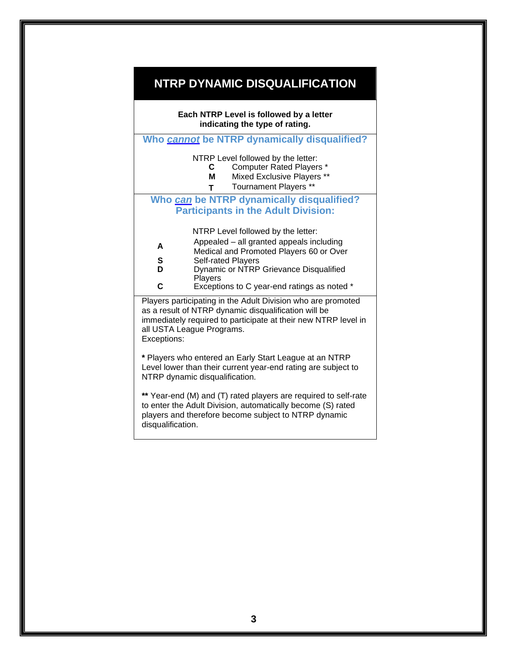# **NTRP DYNAMIC DISQUALIFICATION**

# **Each NTRP Level is followed by a letter indicating the type of rating. Who** *cannot* **be NTRP dynamically disqualified?** NTRP Level followed by the letter: **C** Computer Rated Players \* **M** Mixed Exclusive Players \*\* **T** Tournament Players \*\* **Who** *can* **be NTRP dynamically disqualified? Participants in the Adult Division:** NTRP Level followed by the letter: **A** Appealed – all granted appeals including Medical and Promoted Players 60 or Over **S** Self-rated Players<br>**D** Dynamic or NTRP **Dynamic or NTRP Grievance Disqualified Players C** Exceptions to C year-end ratings as noted \* Players participating in the Adult Division who are promoted as a result of NTRP dynamic disqualification will be immediately required to participate at their new NTRP level in all USTA League Programs. Exceptions: **\*** Players who entered an Early Start League at an NTRP Level lower than their current year-end rating are subject to NTRP dynamic disqualification. **\*\*** Year-end (M) and (T) rated players are required to self-rate to enter the Adult Division, automatically become (S) rated players and therefore become subject to NTRP dynamic disqualification.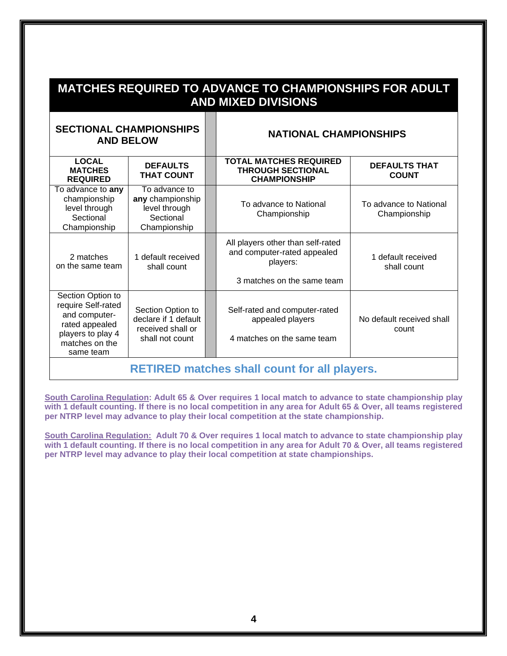| <b>MATCHES REQUIRED TO ADVANCE TO CHAMPIONSHIPS FOR ADULT</b><br><b>AND MIXED DIVISIONS</b> |                                      |  |                                                                                  |                                      |  |
|---------------------------------------------------------------------------------------------|--------------------------------------|--|----------------------------------------------------------------------------------|--------------------------------------|--|
| <b>SECTIONAL CHAMPIONSHIPS</b><br><b>AND BELOW</b>                                          |                                      |  | <b>NATIONAL CHAMPIONSHIPS</b>                                                    |                                      |  |
| <b>LOCAL</b><br><b>MATCHES</b><br><b>DEAIIDEN</b>                                           | <b>DEFAULTS</b><br><b>THAT COUNT</b> |  | <b>TOTAL MATCHES REQUIRED</b><br><b>THROUGH SECTIONAL</b><br><b>CUAMDIONSUID</b> | <b>DEFAULTS THAT</b><br><b>COUNT</b> |  |

| <b>REQUIRED</b>                                                                                                                | INAI GUUNI                                                                        |  | <b>CHAMPIONSHIP</b>                                                                                        | <b>UUUNI</b>                           |
|--------------------------------------------------------------------------------------------------------------------------------|-----------------------------------------------------------------------------------|--|------------------------------------------------------------------------------------------------------------|----------------------------------------|
| To advance to any<br>championship<br>level through<br>Sectional<br>Championship                                                | To advance to<br>any championship<br>level through<br>Sectional<br>Championship   |  | To advance to National<br>Championship                                                                     | To advance to National<br>Championship |
| 2 matches<br>on the same team                                                                                                  | 1 default received<br>shall count                                                 |  | All players other than self-rated<br>and computer-rated appealed<br>players:<br>3 matches on the same team | 1 default received<br>shall count      |
| Section Option to<br>require Self-rated<br>and computer-<br>rated appealed<br>players to play 4<br>matches on the<br>same team | Section Option to<br>declare if 1 default<br>received shall or<br>shall not count |  | Self-rated and computer-rated<br>appealed players<br>4 matches on the same team                            | No default received shall<br>count     |
| <b>RETIRED matches shall count for all players.</b>                                                                            |                                                                                   |  |                                                                                                            |                                        |

**South Carolina Regulation: Adult 65 & Over requires 1 local match to advance to state championship play with 1 default counting. If there is no local competition in any area for Adult 65 & Over, all teams registered per NTRP level may advance to play their local competition at the state championship.**

**South Carolina Regulation: Adult 70 & Over requires 1 local match to advance to state championship play with 1 default counting. If there is no local competition in any area for Adult 70 & Over, all teams registered per NTRP level may advance to play their local competition at state championships.**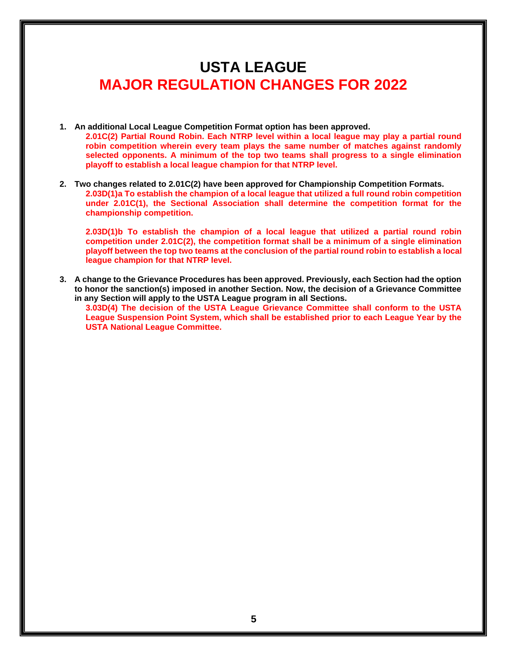# **USTA LEAGUE MAJOR REGULATION CHANGES FOR 2022**

- **1. An additional Local League Competition Format option has been approved. 2.01C(2) Partial Round Robin. Each NTRP level within a local league may play a partial round robin competition wherein every team plays the same number of matches against randomly selected opponents. A minimum of the top two teams shall progress to a single elimination playoff to establish a local league champion for that NTRP level.**
- **2. Two changes related to 2.01C(2) have been approved for Championship Competition Formats. 2.03D(1)a To establish the champion of a local league that utilized a full round robin competition under 2.01C(1), the Sectional Association shall determine the competition format for the championship competition.**

**2.03D(1)b To establish the champion of a local league that utilized a partial round robin competition under 2.01C(2), the competition format shall be a minimum of a single elimination playoff between the top two teams at the conclusion of the partial round robin to establish a local league champion for that NTRP level.**

**3. A change to the Grievance Procedures has been approved. Previously, each Section had the option to honor the sanction(s) imposed in another Section. Now, the decision of a Grievance Committee in any Section will apply to the USTA League program in all Sections.** 

**3.03D(4) The decision of the USTA League Grievance Committee shall conform to the USTA League Suspension Point System, which shall be established prior to each League Year by the USTA National League Committee.**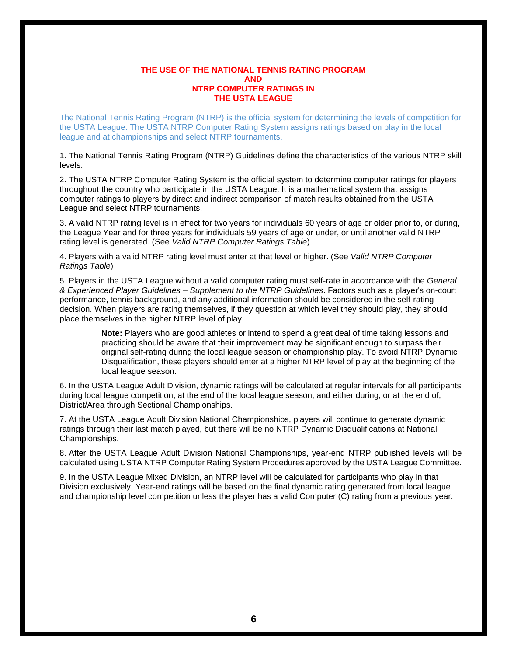# **THE USE OF THE NATIONAL TENNIS RATING PROGRAM AND NTRP COMPUTER RATINGS IN THE USTA LEAGUE**

The National Tennis Rating Program (NTRP) is the official system for determining the levels of competition for the USTA League. The USTA NTRP Computer Rating System assigns ratings based on play in the local league and at championships and select NTRP tournaments.

1. The National Tennis Rating Program (NTRP) Guidelines define the characteristics of the various NTRP skill levels.

2. The USTA NTRP Computer Rating System is the official system to determine computer ratings for players throughout the country who participate in the USTA League. It is a mathematical system that assigns computer ratings to players by direct and indirect comparison of match results obtained from the USTA League and select NTRP tournaments.

3. A valid NTRP rating level is in effect for two years for individuals 60 years of age or older prior to, or during, the League Year and for three years for individuals 59 years of age or under, or until another valid NTRP rating level is generated. (See *Valid NTRP Computer Ratings Table*)

4. Players with a valid NTRP rating level must enter at that level or higher. (See *Valid NTRP Computer Ratings Table*)

5. Players in the USTA League without a valid computer rating must self-rate in accordance with the *General & Experienced Player Guidelines – Supplement to the NTRP Guidelines*. Factors such as a player's on-court performance, tennis background, and any additional information should be considered in the self-rating decision. When players are rating themselves, if they question at which level they should play, they should place themselves in the higher NTRP level of play.

> **Note:** Players who are good athletes or intend to spend a great deal of time taking lessons and practicing should be aware that their improvement may be significant enough to surpass their original self-rating during the local league season or championship play. To avoid NTRP Dynamic Disqualification, these players should enter at a higher NTRP level of play at the beginning of the local league season.

6. In the USTA League Adult Division, dynamic ratings will be calculated at regular intervals for all participants during local league competition, at the end of the local league season, and either during, or at the end of, District/Area through Sectional Championships.

7. At the USTA League Adult Division National Championships, players will continue to generate dynamic ratings through their last match played, but there will be no NTRP Dynamic Disqualifications at National Championships.

8. After the USTA League Adult Division National Championships, year-end NTRP published levels will be calculated using USTA NTRP Computer Rating System Procedures approved by the USTA League Committee.

9. In the USTA League Mixed Division, an NTRP level will be calculated for participants who play in that Division exclusively. Year-end ratings will be based on the final dynamic rating generated from local league and championship level competition unless the player has a valid Computer (C) rating from a previous year.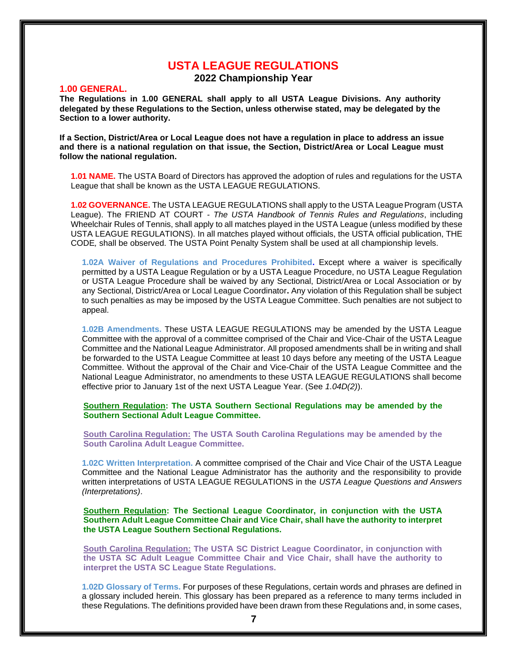# **USTA LEAGUE REGULATIONS**

**2022 Championship Year**

# **1.00 GENERAL.**

**The Regulations in 1.00 GENERAL shall apply to all USTA League Divisions. Any authority delegated by these Regulations to the Section, unless otherwise stated, may be delegated by the Section to a lower authority.**

**If a Section, District/Area or Local League does not have a regulation in place to address an issue and there is a national regulation on that issue, the Section, District/Area or Local League must follow the national regulation.**

**1.01 NAME.** The USTA Board of Directors has approved the adoption of rules and regulations for the USTA League that shall be known as the USTA LEAGUE REGULATIONS.

**1.02 GOVERNANCE.** The USTA LEAGUE REGULATIONS shall apply to the USTA League Program (USTA League). The FRIEND AT COURT *- The USTA Handbook of Tennis Rules and Regulations*, including Wheelchair Rules of Tennis, shall apply to all matches played in the USTA League (unless modified by these USTA LEAGUE REGULATIONS). In all matches played without officials, the USTA official publication, THE CODE*,* shall be observed. The USTA Point Penalty System shall be used at all championship levels.

**1.02A Waiver of Regulations and Procedures Prohibited.** Except where a waiver is specifically permitted by a USTA League Regulation or by a USTA League Procedure, no USTA League Regulation or USTA League Procedure shall be waived by any Sectional, District/Area or Local Association or by any Sectional, District/Area or Local League Coordinator**.** Any violation of this Regulation shall be subject to such penalties as may be imposed by the USTA League Committee. Such penalties are not subject to appeal.

**1.02B Amendments.** These USTA LEAGUE REGULATIONS may be amended by the USTA League Committee with the approval of a committee comprised of the Chair and Vice-Chair of the USTA League Committee and the National League Administrator. All proposed amendments shall be in writing and shall be forwarded to the USTA League Committee at least 10 days before any meeting of the USTA League Committee. Without the approval of the Chair and Vice-Chair of the USTA League Committee and the National League Administrator, no amendments to these USTA LEAGUE REGULATIONS shall become effective prior to January 1st of the next USTA League Year. (See *1.04D(2)*).

**Southern Regulation: The USTA Southern Sectional Regulations may be amended by the Southern Sectional Adult League Committee.**

**South Carolina Regulation: The USTA South Carolina Regulations may be amended by the South Carolina Adult League Committee.**

**1.02C Written Interpretation.** A committee comprised of the Chair and Vice Chair of the USTA League Committee and the National League Administrator has the authority and the responsibility to provide written interpretations of USTA LEAGUE REGULATIONS in the *USTA League Questions and Answers (Interpretations)*.

**Southern Regulation: The Sectional League Coordinator, in conjunction with the USTA Southern Adult League Committee Chair and Vice Chair, shall have the authority to interpret the USTA League Southern Sectional Regulations.**

**South Carolina Regulation: The USTA SC District League Coordinator, in conjunction with the USTA SC Adult League Committee Chair and Vice Chair, shall have the authority to interpret the USTA SC League State Regulations.**

**1.02D Glossary of Terms.** For purposes of these Regulations, certain words and phrases are defined in a glossary included herein. This glossary has been prepared as a reference to many terms included in these Regulations. The definitions provided have been drawn from these Regulations and, in some cases,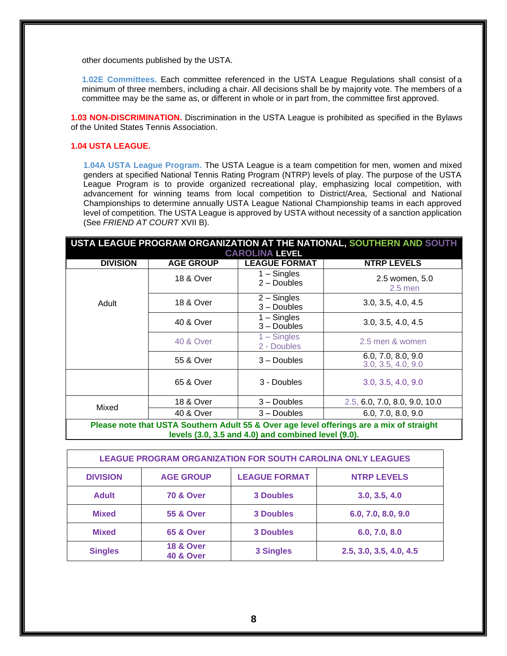other documents published by the USTA.

**1.02E Committees.** Each committee referenced in the USTA League Regulations shall consist of a minimum of three members, including a chair. All decisions shall be by majority vote. The members of a committee may be the same as, or different in whole or in part from, the committee first approved.

**1.03 NON-DISCRIMINATION.** Discrimination in the USTA League is prohibited as specified in the Bylaws of the United States Tennis Association.

# **1.04 USTA LEAGUE.**

**1.04A USTA League Program.** The USTA League is a team competition for men, women and mixed genders at specified National Tennis Rating Program (NTRP) levels of play. The purpose of the USTA League Program is to provide organized recreational play, emphasizing local competition, with advancement for winning teams from local competition to District/Area, Sectional and National Championships to determine annually USTA League National Championship teams in each approved level of competition. The USTA League is approved by USTA without necessity of a sanction application (See *FRIEND AT COURT* XVII B).

|                 | USTA LEAGUE PROGRAM ORGANIZATION AT THE NATIONAL, SOUTHERN AND SOUTH<br><b>CAROLINA LEVEL</b>                                                   |                                |                                          |  |  |  |
|-----------------|-------------------------------------------------------------------------------------------------------------------------------------------------|--------------------------------|------------------------------------------|--|--|--|
| <b>DIVISION</b> | <b>AGE GROUP</b>                                                                                                                                | <b>LEAGUE FORMAT</b>           | <b>NTRP LEVELS</b>                       |  |  |  |
|                 | <b>18 &amp; Over</b>                                                                                                                            | $1 -$ Singles<br>$2 -$ Doubles | 2.5 women, 5.0<br>$2.5$ men              |  |  |  |
| Adult           | <b>18 &amp; Over</b>                                                                                                                            | $2 -$ Singles<br>$3 -$ Doubles | 3.0, 3.5, 4.0, 4.5                       |  |  |  |
|                 | 40 & Over                                                                                                                                       | $1 -$ Singles<br>$3 -$ Doubles | 3.0, 3.5, 4.0, 4.5                       |  |  |  |
|                 | <b>40 &amp; Over</b>                                                                                                                            | $1 -$ Singles<br>2 - Doubles   | 2.5 men & women                          |  |  |  |
|                 | 55 & Over                                                                                                                                       | $3 -$ Doubles                  | 6.0, 7.0, 8.0, 9.0<br>3.0, 3.5, 4.0, 9.0 |  |  |  |
|                 | 65 & Over                                                                                                                                       | 3 - Doubles                    | 3.0, 3.5, 4.0, 9.0                       |  |  |  |
|                 | 18 & Over                                                                                                                                       | $3 -$ Doubles                  | 2.5, 6.0, 7.0, 8.0, 9.0, 10.0            |  |  |  |
| Mixed           | 40 & Over                                                                                                                                       | $3 -$ Doubles                  | 6.0, 7.0, 8.0, 9.0                       |  |  |  |
|                 | Please note that USTA Southern Adult 55 & Over age level offerings are a mix of straight<br>levels (3.0, 3.5 and 4.0) and combined level (9.0). |                                |                                          |  |  |  |

| <b>LEAGUE PROGRAM ORGANIZATION FOR SOUTH CAROLINA ONLY LEAGUES</b> |                                              |                      |                         |  |  |
|--------------------------------------------------------------------|----------------------------------------------|----------------------|-------------------------|--|--|
| <b>DIVISION</b>                                                    | <b>AGE GROUP</b>                             | <b>LEAGUE FORMAT</b> | <b>NTRP LEVELS</b>      |  |  |
| <b>Adult</b>                                                       | <b>70 &amp; Over</b>                         | <b>3 Doubles</b>     | 3.0, 3.5, 4.0           |  |  |
| <b>Mixed</b>                                                       | <b>55 &amp; Over</b>                         | <b>3 Doubles</b>     | 6.0, 7.0, 8.0, 9.0      |  |  |
| <b>Mixed</b>                                                       | <b>65 &amp; Over</b>                         | <b>3 Doubles</b>     | 6.0, 7.0, 8.0           |  |  |
| <b>Singles</b>                                                     | <b>18 &amp; Over</b><br><b>40 &amp; Over</b> | <b>3 Singles</b>     | 2.5, 3.0, 3.5, 4.0, 4.5 |  |  |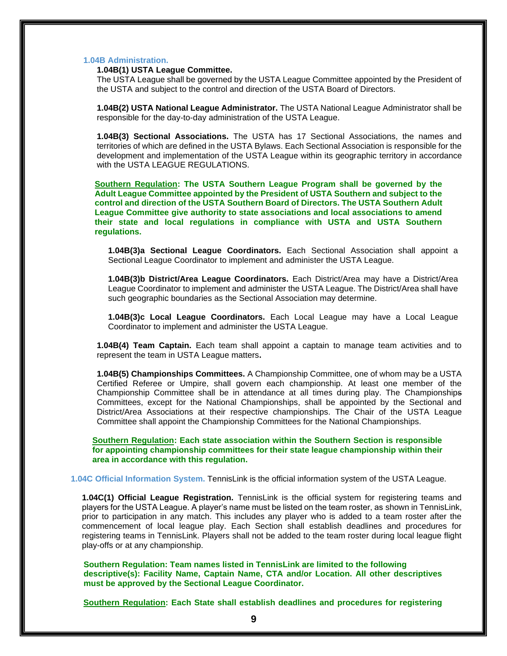# **1.04B Administration.**

# **1.04B(1) USTA League Committee.**

The USTA League shall be governed by the USTA League Committee appointed by the President of the USTA and subject to the control and direction of the USTA Board of Directors.

**1.04B(2) USTA National League Administrator.** The USTA National League Administrator shall be responsible for the day-to-day administration of the USTA League.

**1.04B(3) Sectional Associations.** The USTA has 17 Sectional Associations, the names and territories of which are defined in the USTA Bylaws. Each Sectional Association is responsible for the development and implementation of the USTA League within its geographic territory in accordance with the USTA LEAGUE REGULATIONS.

**Southern Regulation: The USTA Southern League Program shall be governed by the Adult League Committee appointed by the President of USTA Southern and subject to the control and direction of the USTA Southern Board of Directors. The USTA Southern Adult League Committee give authority to state associations and local associations to amend their state and local regulations in compliance with USTA and USTA Southern regulations.** 

**1.04B(3)a Sectional League Coordinators.** Each Sectional Association shall appoint a Sectional League Coordinator to implement and administer the USTA League.

**1.04B(3)b District/Area League Coordinators.** Each District/Area may have a District/Area League Coordinator to implement and administer the USTA League. The District/Area shall have such geographic boundaries as the Sectional Association may determine.

**1.04B(3)c Local League Coordinators.** Each Local League may have a Local League Coordinator to implement and administer the USTA League.

**1.04B(4) Team Captain.** Each team shall appoint a captain to manage team activities and to represent the team in USTA League matters**.**

**1.04B(5) Championships Committees.** A Championship Committee, one of whom may be a USTA Certified Referee or Umpire, shall govern each championship. At least one member of the Championship Committee shall be in attendance at all times during play. The Championships Committees, except for the National Championships, shall be appointed by the Sectional and District/Area Associations at their respective championships. The Chair of the USTA League Committee shall appoint the Championship Committees for the National Championships.

**Southern Regulation: Each state association within the Southern Section is responsible for appointing championship committees for their state league championship within their area in accordance with this regulation.**

**1.04C Official Information System.** TennisLink is the official information system of the USTA League.

**1.04C(1) Official League Registration.** TennisLink is the official system for registering teams and players for the USTA League. A player's name must be listed on the team roster, as shown in TennisLink, prior to participation in any match. This includes any player who is added to a team roster after the commencement of local league play. Each Section shall establish deadlines and procedures for registering teams in TennisLink. Players shall not be added to the team roster during local league flight play-offs or at any championship.

 **Southern Regulation: Team names listed in TennisLink are limited to the following descriptive(s): Facility Name, Captain Name, CTA and/or Location. All other descriptives must be approved by the Sectional League Coordinator.**

**Southern Regulation: Each State shall establish deadlines and procedures for registering**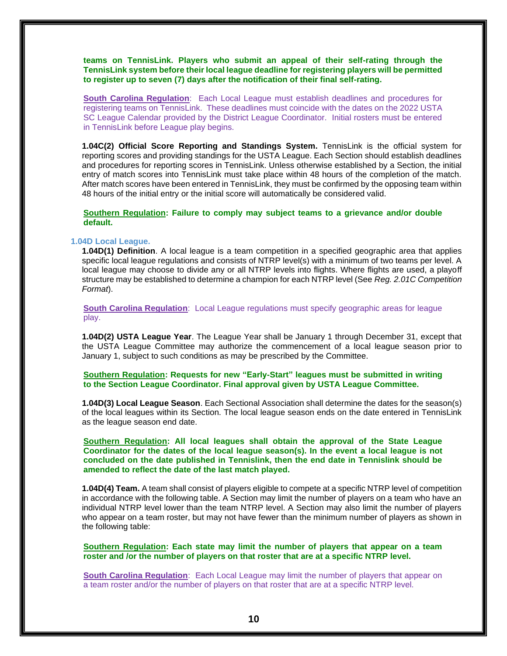**teams on TennisLink. Players who submit an appeal of their self-rating through the TennisLink system before their local league deadline for registering players will be permitted to register up to seven (7) days after the notification of their final self-rating.**

**South Carolina Regulation**: Each Local League must establish deadlines and procedures for registering teams on TennisLink. These deadlines must coincide with the dates on the 2022 USTA SC League Calendar provided by the District League Coordinator. Initial rosters must be entered in TennisLink before League play begins.

**1.04C(2) Official Score Reporting and Standings System.** TennisLink is the official system for reporting scores and providing standings for the USTA League. Each Section should establish deadlines and procedures for reporting scores in TennisLink. Unless otherwise established by a Section, the initial entry of match scores into TennisLink must take place within 48 hours of the completion of the match. After match scores have been entered in TennisLink, they must be confirmed by the opposing team within 48 hours of the initial entry or the initial score will automatically be considered valid.

**Southern Regulation: Failure to comply may subject teams to a grievance and/or double default.**

# **1.04D Local League.**

**1.04D(1) Definition**. A local league is a team competition in a specified geographic area that applies specific local league regulations and consists of NTRP level(s) with a minimum of two teams per level. A local league may choose to divide any or all NTRP levels into flights. Where flights are used, a playoff structure may be established to determine a champion for each NTRP level (See *Reg. 2.01C Competition Format*).

**South Carolina Regulation**: Local League regulations must specify geographic areas for league play.

**1.04D(2) USTA League Year**. The League Year shall be January 1 through December 31, except that the USTA League Committee may authorize the commencement of a local league season prior to January 1, subject to such conditions as may be prescribed by the Committee.

**Southern Regulation: Requests for new "Early-Start" leagues must be submitted in writing to the Section League Coordinator. Final approval given by USTA League Committee.** 

**1.04D(3) Local League Season**. Each Sectional Association shall determine the dates for the season(s) of the local leagues within its Section. The local league season ends on the date entered in TennisLink as the league season end date.

**Southern Regulation: All local leagues shall obtain the approval of the State League Coordinator for the dates of the local league season(s). In the event a local league is not concluded on the date published in Tennislink, then the end date in Tennislink should be amended to reflect the date of the last match played.**

**1.04D(4) Team.** A team shall consist of players eligible to compete at a specific NTRP level of competition in accordance with the following table. A Section may limit the number of players on a team who have an individual NTRP level lower than the team NTRP level. A Section may also limit the number of players who appear on a team roster, but may not have fewer than the minimum number of players as shown in the following table:

**Southern Regulation: Each state may limit the number of players that appear on a team roster and /or the number of players on that roster that are at a specific NTRP level.**

**South Carolina Regulation:** Each Local League may limit the number of players that appear on a team roster and/or the number of players on that roster that are at a specific NTRP level.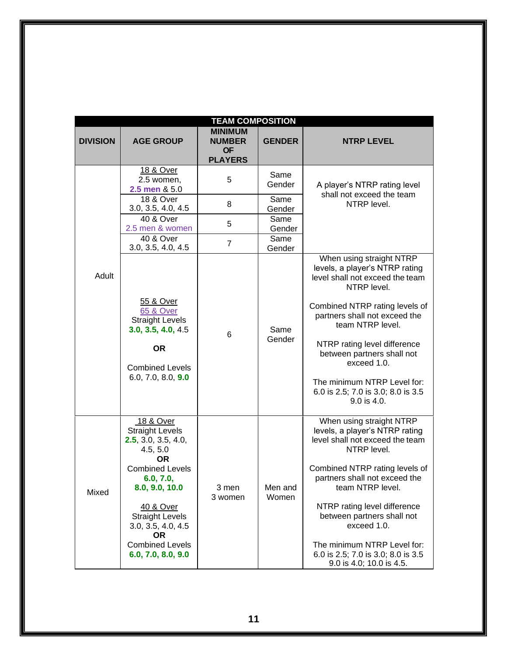| <b>TEAM COMPOSITION</b> |                                                                                                                                                                                                                                                                 |                                                                |                  |                                                                                                                                                                                                                                                                                                                                                                                   |
|-------------------------|-----------------------------------------------------------------------------------------------------------------------------------------------------------------------------------------------------------------------------------------------------------------|----------------------------------------------------------------|------------------|-----------------------------------------------------------------------------------------------------------------------------------------------------------------------------------------------------------------------------------------------------------------------------------------------------------------------------------------------------------------------------------|
| <b>DIVISION</b>         | <b>AGE GROUP</b>                                                                                                                                                                                                                                                | <b>MINIMUM</b><br><b>NUMBER</b><br><b>OF</b><br><b>PLAYERS</b> | <b>GENDER</b>    | <b>NTRP LEVEL</b>                                                                                                                                                                                                                                                                                                                                                                 |
|                         | <u>18 &amp; Over</u><br>2.5 women,<br>2.5 men & 5.0                                                                                                                                                                                                             | 5                                                              | Same<br>Gender   | A player's NTRP rating level<br>shall not exceed the team                                                                                                                                                                                                                                                                                                                         |
|                         | 18 & Over<br>3.0, 3.5, 4.0, 4.5                                                                                                                                                                                                                                 | 8                                                              | Same<br>Gender   | NTRP level.                                                                                                                                                                                                                                                                                                                                                                       |
|                         | 40 & Over<br>2.5 men & women                                                                                                                                                                                                                                    | 5                                                              | Same<br>Gender   |                                                                                                                                                                                                                                                                                                                                                                                   |
|                         | 40 & Over<br>3.0, 3.5, 4.0, 4.5                                                                                                                                                                                                                                 | $\overline{7}$                                                 | Same<br>Gender   |                                                                                                                                                                                                                                                                                                                                                                                   |
| Adult                   | 55 & Over<br><b>65 &amp; Over</b><br><b>Straight Levels</b><br>3.0, 3.5, 4.0, 4.5<br><b>OR</b><br><b>Combined Levels</b><br>6.0, 7.0, 8.0, 9.0                                                                                                                  | 6                                                              | Same<br>Gender   | When using straight NTRP<br>levels, a player's NTRP rating<br>level shall not exceed the team<br>NTRP level.<br>Combined NTRP rating levels of<br>partners shall not exceed the<br>team NTRP level.<br>NTRP rating level difference<br>between partners shall not<br>exceed 1.0.<br>The minimum NTRP Level for:<br>6.0 is 2.5; 7.0 is 3.0; 8.0 is 3.5<br>$9.0$ is 4.0.            |
| Mixed                   | 18 & Over<br><b>Straight Levels</b><br>2.5, 3.0, 3.5, 4.0,<br>4.5, 5.0<br>OR<br><b>Combined Levels</b><br>6.0, 7.0,<br>8.0, 9.0, 10.0<br>40 & Over<br><b>Straight Levels</b><br>3.0, 3.5, 4.0, 4.5<br><b>OR</b><br><b>Combined Levels</b><br>6.0, 7.0, 8.0, 9.0 | 3 men<br>3 women                                               | Men and<br>Women | When using straight NTRP<br>levels, a player's NTRP rating<br>level shall not exceed the team<br>NTRP level.<br>Combined NTRP rating levels of<br>partners shall not exceed the<br>team NTRP level.<br>NTRP rating level difference<br>between partners shall not<br>exceed 1.0.<br>The minimum NTRP Level for:<br>6.0 is 2.5; 7.0 is 3.0; 8.0 is 3.5<br>9.0 is 4.0; 10.0 is 4.5. |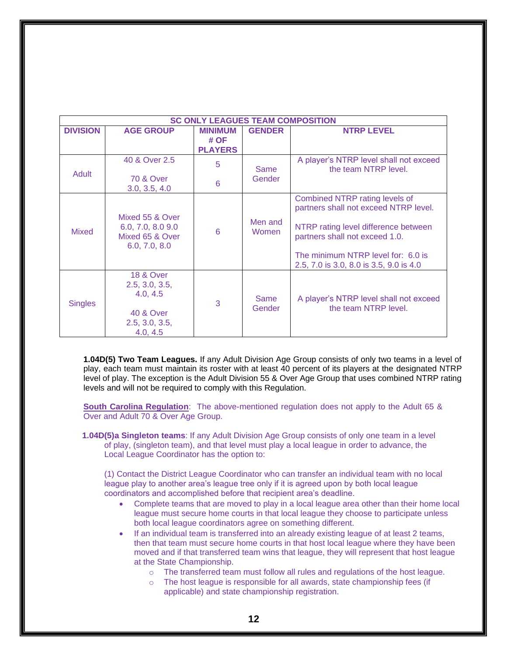| <b>SC ONLY LEAGUES TEAM COMPOSITION</b> |                                                                                                          |                |                  |                                                                                                                                                                                                                                    |  |
|-----------------------------------------|----------------------------------------------------------------------------------------------------------|----------------|------------------|------------------------------------------------------------------------------------------------------------------------------------------------------------------------------------------------------------------------------------|--|
| <b>DIVISION</b>                         | <b>AGE GROUP</b>                                                                                         | <b>MINIMUM</b> | <b>GENDER</b>    | <b>NTRP LEVEL</b>                                                                                                                                                                                                                  |  |
|                                         |                                                                                                          | # OF           |                  |                                                                                                                                                                                                                                    |  |
|                                         |                                                                                                          | <b>PLAYERS</b> |                  |                                                                                                                                                                                                                                    |  |
| Adult                                   | 40 & Over 2.5                                                                                            | 5              | Same             | A player's NTRP level shall not exceed<br>the team NTRP level.                                                                                                                                                                     |  |
|                                         | <b>70 &amp; Over</b><br>3.0, 3.5, 4.0                                                                    | 6              | Gender           |                                                                                                                                                                                                                                    |  |
| Mixed                                   | Mixed 55 & Over<br>6.0, 7.0, 8.0 9.0<br>Mixed 65 & Over<br>6.0, 7.0, 8.0                                 | 6              | Men and<br>Women | Combined NTRP rating levels of<br>partners shall not exceed NTRP level.<br>NTRP rating level difference between<br>partners shall not exceed 1.0.<br>The minimum NTRP level for: 6.0 is<br>2.5, 7.0 is 3.0, 8.0 is 3.5, 9.0 is 4.0 |  |
| <b>Singles</b>                          | <b>18 &amp; Over</b><br>2.5, 3.0, 3.5,<br>4.0, 4.5<br><b>40 &amp; Over</b><br>2.5, 3.0, 3.5,<br>4.0, 4.5 | 3              | Same<br>Gender   | A player's NTRP level shall not exceed<br>the team NTRP level.                                                                                                                                                                     |  |

**1.04D(5) Two Team Leagues.** If any Adult Division Age Group consists of only two teams in a level of play, each team must maintain its roster with at least 40 percent of its players at the designated NTRP level of play. The exception is the Adult Division 55 & Over Age Group that uses combined NTRP rating levels and will not be required to comply with this Regulation.

**South Carolina Regulation**: The above-mentioned regulation does not apply to the Adult 65 & Over and Adult 70 & Over Age Group.

 **1.04D(5)a Singleton teams**: If any Adult Division Age Group consists of only one team in a level of play, (singleton team), and that level must play a local league in order to advance, the Local League Coordinator has the option to:

(1) Contact the District League Coordinator who can transfer an individual team with no local league play to another area's league tree only if it is agreed upon by both local league coordinators and accomplished before that recipient area's deadline.

- Complete teams that are moved to play in a local league area other than their home local league must secure home courts in that local league they choose to participate unless both local league coordinators agree on something different.
- If an individual team is transferred into an already existing league of at least 2 teams, then that team must secure home courts in that host local league where they have been moved and if that transferred team wins that league, they will represent that host league at the State Championship.
	- o The transferred team must follow all rules and regulations of the host league.
	- o The host league is responsible for all awards, state championship fees (if applicable) and state championship registration.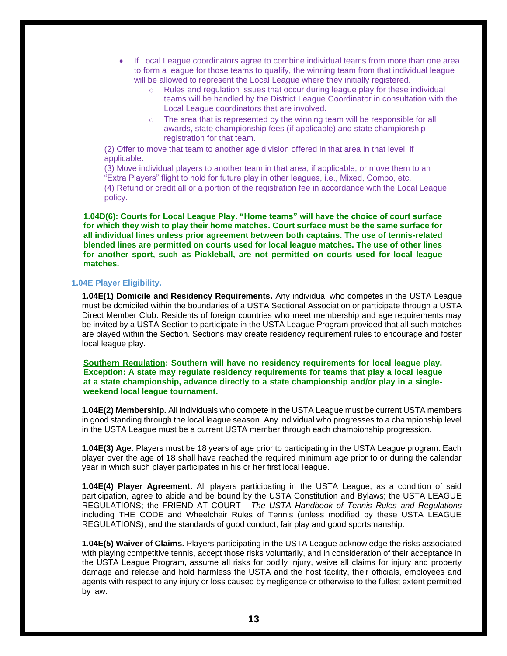- If Local League coordinators agree to combine individual teams from more than one area to form a league for those teams to qualify, the winning team from that individual league will be allowed to represent the Local League where they initially registered.
	- o Rules and regulation issues that occur during league play for these individual teams will be handled by the District League Coordinator in consultation with the Local League coordinators that are involved.
	- $\circ$  The area that is represented by the winning team will be responsible for all awards, state championship fees (if applicable) and state championship registration for that team.

(2) Offer to move that team to another age division offered in that area in that level, if applicable.

(3) Move individual players to another team in that area, if applicable, or move them to an "Extra Players" flight to hold for future play in other leagues, i.e., Mixed, Combo, etc. (4) Refund or credit all or a portion of the registration fee in accordance with the Local League

policy.

**1.04D(6): Courts for Local League Play. "Home teams" will have the choice of court surface for which they wish to play their home matches. Court surface must be the same surface for all individual lines unless prior agreement between both captains. The use of tennis-related blended lines are permitted on courts used for local league matches. The use of other lines for another sport, such as Pickleball, are not permitted on courts used for local league matches.**

# **1.04E Player Eligibility.**

**1.04E(1) Domicile and Residency Requirements.** Any individual who competes in the USTA League must be domiciled within the boundaries of a USTA Sectional Association or participate through a USTA Direct Member Club. Residents of foreign countries who meet membership and age requirements may be invited by a USTA Section to participate in the USTA League Program provided that all such matches are played within the Section. Sections may create residency requirement rules to encourage and foster local league play.

**Southern Regulation: Southern will have no residency requirements for local league play. Exception: A state may regulate residency requirements for teams that play a local league at a state championship, advance directly to a state championship and/or play in a singleweekend local league tournament.**

**1.04E(2) Membership.** All individuals who compete in the USTA League must be current USTA members in good standing through the local league season. Any individual who progresses to a championship level in the USTA League must be a current USTA member through each championship progression.

**1.04E(3) Age.** Players must be 18 years of age prior to participating in the USTA League program. Each player over the age of 18 shall have reached the required minimum age prior to or during the calendar year in which such player participates in his or her first local league.

**1.04E(4) Player Agreement.** All players participating in the USTA League, as a condition of said participation, agree to abide and be bound by the USTA Constitution and Bylaws; the USTA LEAGUE REGULATIONS; the FRIEND AT COURT - *The USTA Handbook of Tennis Rules and Regulations*  including THE CODE and Wheelchair Rules of Tennis (unless modified by these USTA LEAGUE REGULATIONS); and the standards of good conduct, fair play and good sportsmanship.

**1.04E(5) Waiver of Claims.** Players participating in the USTA League acknowledge the risks associated with playing competitive tennis, accept those risks voluntarily, and in consideration of their acceptance in the USTA League Program, assume all risks for bodily injury, waive all claims for injury and property damage and release and hold harmless the USTA and the host facility, their officials, employees and agents with respect to any injury or loss caused by negligence or otherwise to the fullest extent permitted by law.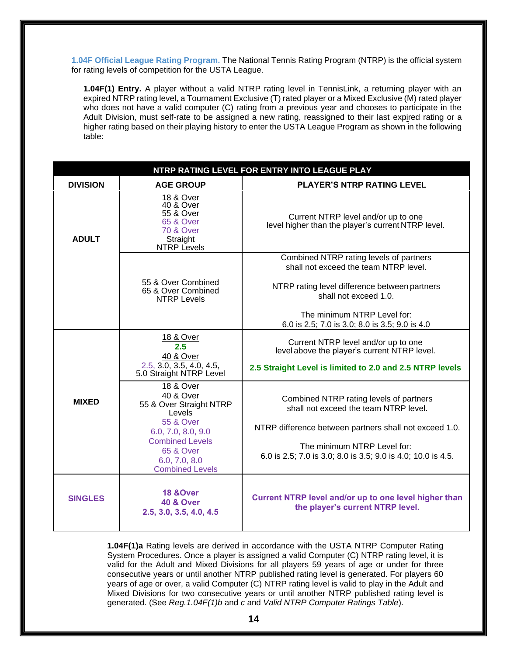**1.04F Official League Rating Program.** The National Tennis Rating Program (NTRP) is the official system for rating levels of competition for the USTA League.

**1.04F(1) Entry.** A player without a valid NTRP rating level in TennisLink, a returning player with an expired NTRP rating level, a Tournament Exclusive (T) rated player or a Mixed Exclusive (M) rated player who does not have a valid computer (C) rating from a previous year and chooses to participate in the Adult Division, must self-rate to be assigned a new rating, reassigned to their last expired rating or a higher rating based on their playing history to enter the USTA League Program as shown in the following table:

| NTRP RATING LEVEL FOR ENTRY INTO LEAGUE PLAY |                                                                                                                                                                                                                   |                                                                                                                                                                                                                                           |  |  |
|----------------------------------------------|-------------------------------------------------------------------------------------------------------------------------------------------------------------------------------------------------------------------|-------------------------------------------------------------------------------------------------------------------------------------------------------------------------------------------------------------------------------------------|--|--|
| <b>DIVISION</b>                              | <b>AGE GROUP</b>                                                                                                                                                                                                  | <b>PLAYER'S NTRP RATING LEVEL</b>                                                                                                                                                                                                         |  |  |
| <b>ADULT</b>                                 | 18 & Over<br>40 & Over<br>55 & Over<br><b>65 &amp; Over</b><br><b>70 &amp; Over</b><br>Straight<br><b>NTRP</b> Levels                                                                                             | Current NTRP level and/or up to one<br>level higher than the player's current NTRP level.                                                                                                                                                 |  |  |
|                                              |                                                                                                                                                                                                                   | Combined NTRP rating levels of partners<br>shall not exceed the team NTRP level.                                                                                                                                                          |  |  |
|                                              | 55 & Over Combined<br>65 & Over Combined<br><b>NTRP Levels</b>                                                                                                                                                    | NTRP rating level difference between partners<br>shall not exceed 1.0.                                                                                                                                                                    |  |  |
|                                              |                                                                                                                                                                                                                   | The minimum NTRP Level for:<br>6.0 is 2.5; 7.0 is 3.0; 8.0 is 3.5; 9.0 is 4.0                                                                                                                                                             |  |  |
|                                              | 18 & Over<br>2.5<br>40 & Over<br>2.5, 3.0, 3.5, 4.0, 4.5,<br>5.0 Straight NTRP Level                                                                                                                              | Current NTRP level and/or up to one<br>level above the player's current NTRP level.<br>2.5 Straight Level is limited to 2.0 and 2.5 NTRP levels                                                                                           |  |  |
| <b>MIXED</b>                                 | <b>18 &amp; Over</b><br>40 & Over<br>55 & Over Straight NTRP<br>Levels<br><b>55 &amp; Over</b><br>6.0, 7.0, 8.0, 9.0<br><b>Combined Levels</b><br><b>65 &amp; Over</b><br>6.0, 7.0, 8.0<br><b>Combined Levels</b> | Combined NTRP rating levels of partners<br>shall not exceed the team NTRP level.<br>NTRP difference between partners shall not exceed 1.0.<br>The minimum NTRP Level for:<br>6.0 is 2.5; 7.0 is 3.0; 8.0 is 3.5; 9.0 is 4.0; 10.0 is 4.5. |  |  |
| <b>SINGLES</b>                               | 18 & Over<br><b>40 &amp; Over</b><br>2.5, 3.0, 3.5, 4.0, 4.5                                                                                                                                                      | Current NTRP level and/or up to one level higher than<br>the player's current NTRP level.                                                                                                                                                 |  |  |

**1.04F(1)a** Rating levels are derived in accordance with the USTA NTRP Computer Rating System Procedures. Once a player is assigned a valid Computer (C) NTRP rating level, it is valid for the Adult and Mixed Divisions for all players 59 years of age or under for three consecutive years or until another NTRP published rating level is generated. For players 60 years of age or over, a valid Computer (C) NTRP rating level is valid to play in the Adult and Mixed Divisions for two consecutive years or until another NTRP published rating level is generated. (See *Reg.1.04F(1)b* and *c* and *Valid NTRP Computer Ratings Table*).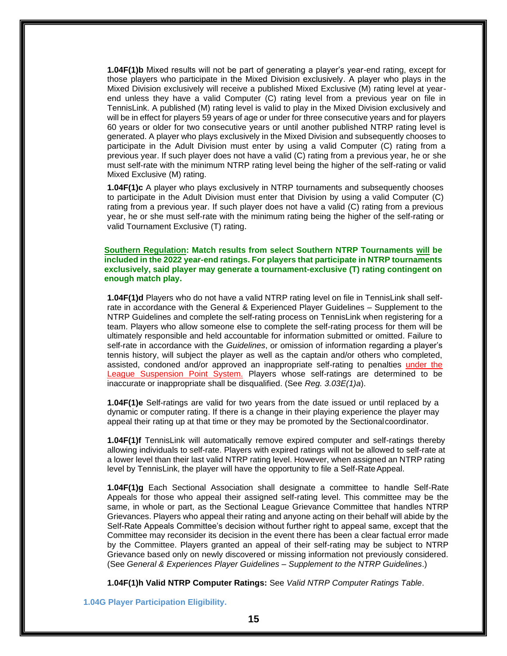**1.04F(1)b** Mixed results will not be part of generating a player's year-end rating, except for those players who participate in the Mixed Division exclusively. A player who plays in the Mixed Division exclusively will receive a published Mixed Exclusive (M) rating level at yearend unless they have a valid Computer (C) rating level from a previous year on file in TennisLink. A published (M) rating level is valid to play in the Mixed Division exclusively and will be in effect for players 59 years of age or under for three consecutive years and for players 60 years or older for two consecutive years or until another published NTRP rating level is generated. A player who plays exclusively in the Mixed Division and subsequently chooses to participate in the Adult Division must enter by using a valid Computer (C) rating from a previous year. If such player does not have a valid (C) rating from a previous year, he or she must self-rate with the minimum NTRP rating level being the higher of the self-rating or valid Mixed Exclusive (M) rating.

**1.04F(1)c** A player who plays exclusively in NTRP tournaments and subsequently chooses to participate in the Adult Division must enter that Division by using a valid Computer (C) rating from a previous year. If such player does not have a valid (C) rating from a previous year, he or she must self-rate with the minimum rating being the higher of the self-rating or valid Tournament Exclusive (T) rating.

# **Southern Regulation: Match results from select Southern NTRP Tournaments will be included in the 2022 year-end ratings. For players that participate in NTRP tournaments exclusively, said player may generate a tournament-exclusive (T) rating contingent on enough match play.**

**1.04F(1)d** Players who do not have a valid NTRP rating level on file in TennisLink shall selfrate in accordance with the General & Experienced Player Guidelines – Supplement to the NTRP Guidelines and complete the self-rating process on TennisLink when registering for a team. Players who allow someone else to complete the self-rating process for them will be ultimately responsible and held accountable for information submitted or omitted. Failure to self-rate in accordance with the *Guidelines*, or omission of information regarding a player's tennis history, will subject the player as well as the captain and/or others who completed, assisted, condoned and/or approved an inappropriate self-rating to penalties under the League Suspension Point System. Players whose self-ratings are determined to be inaccurate or inappropriate shall be disqualified. (See *Reg. 3.03E(1)a*).

**1.04F(1)e** Self-ratings are valid for two years from the date issued or until replaced by a dynamic or computer rating. If there is a change in their playing experience the player may appeal their rating up at that time or they may be promoted by the Sectionalcoordinator.

**1.04F(1)f** TennisLink will automatically remove expired computer and self-ratings thereby allowing individuals to self-rate. Players with expired ratings will not be allowed to self-rate at a lower level than their last valid NTRP rating level. However, when assigned an NTRP rating level by TennisLink, the player will have the opportunity to file a Self-Rate Appeal.

**1.04F(1)g** Each Sectional Association shall designate a committee to handle Self-Rate Appeals for those who appeal their assigned self-rating level. This committee may be the same, in whole or part, as the Sectional League Grievance Committee that handles NTRP Grievances. Players who appeal their rating and anyone acting on their behalf will abide by the Self-Rate Appeals Committee's decision without further right to appeal same, except that the Committee may reconsider its decision in the event there has been a clear factual error made by the Committee. Players granted an appeal of their self-rating may be subject to NTRP Grievance based only on newly discovered or missing information not previously considered. (See *General & Experiences Player Guidelines – Supplement to the NTRP Guidelines*.)

**1.04F(1)h Valid NTRP Computer Ratings:** See *Valid NTRP Computer Ratings Table*.

**1.04G Player Participation Eligibility.**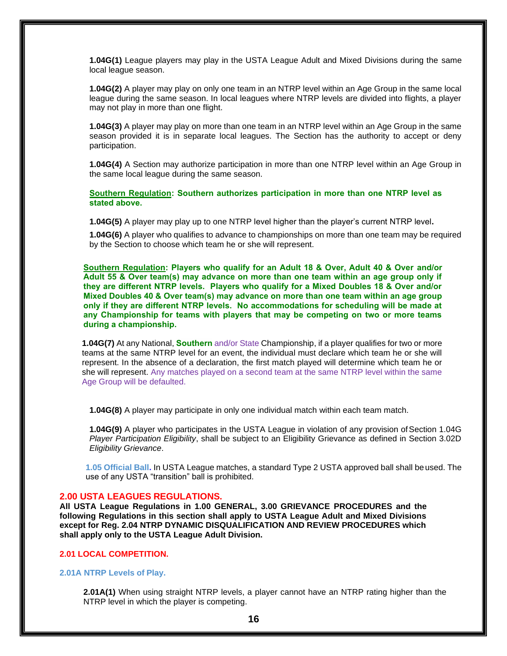**1.04G(1)** League players may play in the USTA League Adult and Mixed Divisions during the same local league season.

**1.04G(2)** A player may play on only one team in an NTRP level within an Age Group in the same local league during the same season. In local leagues where NTRP levels are divided into flights, a player may not play in more than one flight.

**1.04G(3)** A player may play on more than one team in an NTRP level within an Age Group in the same season provided it is in separate local leagues. The Section has the authority to accept or deny participation.

**1.04G(4)** A Section may authorize participation in more than one NTRP level within an Age Group in the same local league during the same season.

**Southern Regulation: Southern authorizes participation in more than one NTRP level as stated above.**

**1.04G(5)** A player may play up to one NTRP level higher than the player's current NTRP level**.**

**1.04G(6)** A player who qualifies to advance to championships on more than one team may be required by the Section to choose which team he or she will represent.

**Southern Regulation: Players who qualify for an Adult 18 & Over, Adult 40 & Over and/or Adult 55 & Over team(s) may advance on more than one team within an age group only if they are different NTRP levels. Players who qualify for a Mixed Doubles 18 & Over and/or Mixed Doubles 40 & Over team(s) may advance on more than one team within an age group only if they are different NTRP levels. No accommodations for scheduling will be made at any Championship for teams with players that may be competing on two or more teams during a championship.** 

**1.04G(7)** At any National, **Southern** and/or State Championship, if a player qualifies for two or more teams at the same NTRP level for an event, the individual must declare which team he or she will represent. In the absence of a declaration, the first match played will determine which team he or she will represent. Any matches played on a second team at the same NTRP level within the same Age Group will be defaulted.

**1.04G(8)** A player may participate in only one individual match within each team match.

**1.04G(9)** A player who participates in the USTA League in violation of any provision of Section 1.04G *Player Participation Eligibility*, shall be subject to an Eligibility Grievance as defined in Section 3.02D *Eligibility Grievance*.

**1.05 Official Ball.** In USTA League matches, a standard Type 2 USTA approved ball shall beused. The use of any USTA "transition" ball is prohibited.

# **2.00 USTA LEAGUES REGULATIONS.**

**All USTA League Regulations in 1.00 GENERAL, 3.00 GRIEVANCE PROCEDURES and the following Regulations in this section shall apply to USTA League Adult and Mixed Divisions except for Reg. 2.04 NTRP DYNAMIC DISQUALIFICATION AND REVIEW PROCEDURES which shall apply only to the USTA League Adult Division.**

# **2.01 LOCAL COMPETITION.**

# **2.01A NTRP Levels of Play.**

**2.01A(1)** When using straight NTRP levels, a player cannot have an NTRP rating higher than the NTRP level in which the player is competing.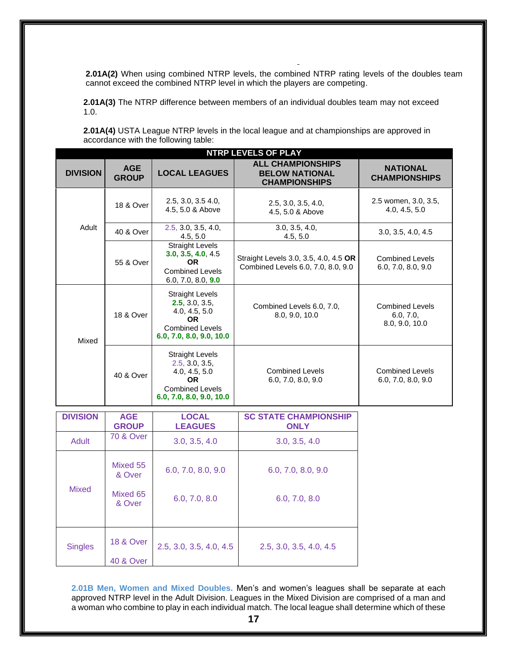**2.01A(2)** When using combined NTRP levels, the combined NTRP rating levels of the doubles team cannot exceed the combined NTRP level in which the players are competing.

**2.01A(3)** The NTRP difference between members of an individual doubles team may not exceed 1.0.

**2.01A(4)** USTA League NTRP levels in the local league and at championships are approved in accordance with the following table:

| <b>NTRP LEVELS OF PLAY</b> |                                              |                                                                                                                                                                              |                                                                             |                                                       |  |
|----------------------------|----------------------------------------------|------------------------------------------------------------------------------------------------------------------------------------------------------------------------------|-----------------------------------------------------------------------------|-------------------------------------------------------|--|
| <b>DIVISION</b>            | <b>AGE</b><br><b>GROUP</b>                   | <b>LOCAL LEAGUES</b>                                                                                                                                                         | <b>ALL CHAMPIONSHIPS</b><br><b>BELOW NATIONAL</b><br><b>CHAMPIONSHIPS</b>   | <b>NATIONAL</b><br><b>CHAMPIONSHIPS</b>               |  |
|                            | <b>18 &amp; Over</b>                         | 2.5, 3.0, 3.5 4.0,<br>4.5, 5.0 & Above                                                                                                                                       | 2.5, 3.0, 3.5, 4.0,<br>4.5, 5.0 & Above                                     | 2.5 women, 3.0, 3.5,<br>4.0, 4.5, 5.0                 |  |
| Adult                      | 40 & Over                                    | 2.5, 3.0, 3.5, 4.0,<br>4.5, 5.0                                                                                                                                              | 3.0, 3.5, 4.0,<br>4.5, 5.0                                                  | 3.0, 3.5, 4.0, 4.5                                    |  |
|                            | 55 & Over                                    | <b>Straight Levels</b><br>3.0, 3.5, 4.0, 4.5<br>0R<br><b>Combined Levels</b><br>6.0, 7.0, 8.0, 9.0                                                                           | Straight Levels 3.0, 3.5, 4.0, 4.5 OR<br>Combined Levels 6.0, 7.0, 8.0, 9.0 | <b>Combined Levels</b><br>6.0, 7.0, 8.0, 9.0          |  |
| Mixed                      | 18 & Over                                    | <b>Straight Levels</b><br>2.5, 3.0, 3.5,<br>Combined Levels 6.0, 7.0,<br>4.0, 4.5, 5.0<br>8.0, 9.0, 10.0<br><b>OR</b><br><b>Combined Levels</b><br>6.0, 7.0, 8.0, 9.0, 10.0  |                                                                             | <b>Combined Levels</b><br>6.0, 7.0,<br>8.0, 9.0, 10.0 |  |
| 40 & Over                  |                                              | <b>Straight Levels</b><br>2.5, 3.0, 3.5,<br><b>Combined Levels</b><br>4.0, 4.5, 5.0<br>6.0, 7.0, 8.0, 9.0<br><b>OR</b><br><b>Combined Levels</b><br>6.0, 7.0, 8.0, 9.0, 10.0 |                                                                             | <b>Combined Levels</b><br>6.0, 7.0, 8.0, 9.0          |  |
| <b>DIVISION</b>            | <b>AGE</b><br><b>GROUP</b>                   | <b>LOCAL</b><br><b>LEAGUES</b>                                                                                                                                               | <b>SC STATE CHAMPIONSHIP</b><br><b>ONLY</b>                                 |                                                       |  |
| <b>Adult</b>               | <b>70 &amp; Over</b>                         | 3.0, 3.5, 4.0                                                                                                                                                                | 3.0, 3.5, 4.0                                                               |                                                       |  |
|                            | Mixed 55<br>& Over                           | 6.0, 7.0, 8.0, 9.0                                                                                                                                                           | 6.0, 7.0, 8.0, 9.0                                                          |                                                       |  |
| <b>Mixed</b>               | Mixed 65<br>& Over                           | 6.0, 7.0, 8.0                                                                                                                                                                | 6.0, 7.0, 8.0                                                               |                                                       |  |
| <b>Singles</b>             | <b>18 &amp; Over</b><br><b>40 &amp; Over</b> | 2.5, 3.0, 3.5, 4.0, 4.5                                                                                                                                                      | 2.5, 3.0, 3.5, 4.0, 4.5                                                     |                                                       |  |

**2.01B Men, Women and Mixed Doubles.** Men's and women's leagues shall be separate at each approved NTRP level in the Adult Division. Leagues in the Mixed Division are comprised of a man and a woman who combine to play in each individual match. The local league shall determine which of these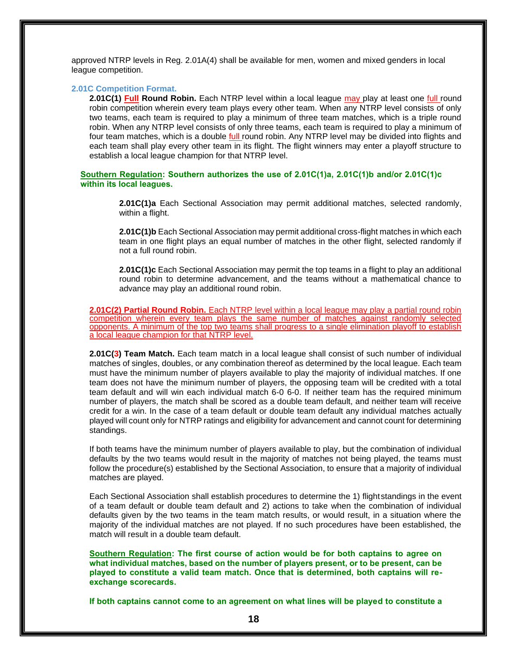approved NTRP levels in Reg. 2.01A(4) shall be available for men, women and mixed genders in local league competition.

# **2.01C Competition Format.**

**2.01C(1) Full Round Robin.** Each NTRP level within a local league may play at least one full round robin competition wherein every team plays every other team. When any NTRP level consists of only two teams, each team is required to play a minimum of three team matches, which is a triple round robin. When any NTRP level consists of only three teams, each team is required to play a minimum of four team matches, which is a double full round robin. Any NTRP level may be divided into flights and each team shall play every other team in its flight. The flight winners may enter a playoff structure to establish a local league champion for that NTRP level.

**Southern Regulation: Southern authorizes the use of 2.01C(1)a, 2.01C(1)b and/or 2.01C(1)c within its local leagues.**

> **2.01C(1)a** Each Sectional Association may permit additional matches, selected randomly, within a flight.

> **2.01C(1)b** Each Sectional Association may permit additional cross-flight matches in which each team in one flight plays an equal number of matches in the other flight, selected randomly if not a full round robin.

> **2.01C(1)c** Each Sectional Association may permit the top teams in a flight to play an additional round robin to determine advancement, and the teams without a mathematical chance to advance may play an additional round robin.

**2.01C(2) Partial Round Robin.** Each NTRP level within a local league may play a partial round robin competition wherein every team plays the same number of matches against randomly selected opponents. A minimum of the top two teams shall progress to a single elimination playoff to establish a local league champion for that NTRP level.

**2.01C(3) Team Match.** Each team match in a local league shall consist of such number of individual matches of singles, doubles, or any combination thereof as determined by the local league. Each team must have the minimum number of players available to play the majority of individual matches. If one team does not have the minimum number of players, the opposing team will be credited with a total team default and will win each individual match 6-0 6-0. If neither team has the required minimum number of players, the match shall be scored as a double team default, and neither team will receive credit for a win. In the case of a team default or double team default any individual matches actually played will count only for NTRP ratings and eligibility for advancement and cannot count for determining standings.

If both teams have the minimum number of players available to play, but the combination of individual defaults by the two teams would result in the majority of matches not being played, the teams must follow the procedure(s) established by the Sectional Association, to ensure that a majority of individual matches are played.

Each Sectional Association shall establish procedures to determine the 1) flightstandings in the event of a team default or double team default and 2) actions to take when the combination of individual defaults given by the two teams in the team match results, or would result, in a situation where the majority of the individual matches are not played. If no such procedures have been established, the match will result in a double team default.

**Southern Regulation: The first course of action would be for both captains to agree on what individual matches, based on the number of players present, or to be present, can be played to constitute a valid team match. Once that is determined, both captains will reexchange scorecards.**

**If both captains cannot come to an agreement on what lines will be played to constitute a**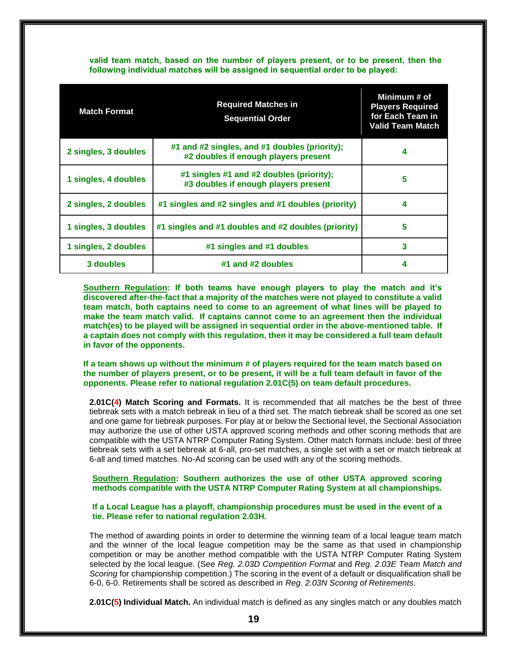# **valid team match, based on the number of players present, or to be present, then the following individual matches will be assigned in sequential order to be played:**

| <b>Match Format</b>  | <b>Required Matches in</b><br><b>Sequential Order</b>                                 | Minimum # of<br><b>Players Required</b><br>for Each Team in<br>Valid Team Match |
|----------------------|---------------------------------------------------------------------------------------|---------------------------------------------------------------------------------|
| 2 singles, 3 doubles | #1 and #2 singles, and #1 doubles (priority);<br>#2 doubles if enough players present | 4                                                                               |
| 1 singles, 4 doubles | #1 singles #1 and #2 doubles (priority);<br>#3 doubles if enough players present      | 5                                                                               |
| 2 singles, 2 doubles | #1 singles and #2 singles and #1 doubles (priority)                                   | 4                                                                               |
| 1 singles, 3 doubles | #1 singles and #1 doubles and #2 doubles (priority)                                   | 5                                                                               |
| 1 singles, 2 doubles | #1 singles and #1 doubles                                                             | 3                                                                               |
| 3 doubles            | #1 and #2 doubles                                                                     | 4                                                                               |

**Southern Regulation: If both teams have enough players to play the match and it's discovered after-the-fact that a majority of the matches were not played to constitute a valid team match, both captains need to come to an agreement of what lines will be played to make the team match valid. If captains cannot come to an agreement then the individual match(es) to be played will be assigned in sequential order in the above-mentioned table. If a captain does not comply with this regulation, then it may be considered a full team default in favor of the opponents.**

**If a team shows up without the minimum # of players required for the team match based on the number of players present, or to be present, it will be a full team default in favor of the opponents. Please refer to national regulation 2.01C(5) on team default procedures.** 

**2.01C(4) Match Scoring and Formats.** It is recommended that all matches be the best of three tiebreak sets with a match tiebreak in lieu of a third set. The match tiebreak shall be scored as one set and one game for tiebreak purposes. For play at or below the Sectional level, the Sectional Association may authorize the use of other USTA approved scoring methods and other scoring methods that are compatible with the USTA NTRP Computer Rating System. Other match formats include: best of three tiebreak sets with a set tiebreak at 6-all, pro-set matches, a single set with a set or match tiebreak at 6-all and timed matches. No-Ad scoring can be used with any of the scoring methods.

# **Southern Regulation: Southern authorizes the use of other USTA approved scoring methods compatible with the USTA NTRP Computer Rating System at all championships.**

# **If a Local League has a playoff, championship procedures must be used in the event of a tie. Please refer to national regulation 2.03H.**

The method of awarding points in order to determine the winning team of a local league team match and the winner of the local league competition may be the same as that used in championship competition or may be another method compatible with the USTA NTRP Computer Rating System selected by the local league. (See *Reg. 2.03D Competition Format* and *Reg. 2.03E Team Match and Scoring* for championship competition.) The scoring in the event of a default or disqualification shall be 6-0, 6-0. Retirements shall be scored as described in *Reg. 2.03N Scoring of Retirements*.

**2.01C(5) Individual Match.** An individual match is defined as any singles match or any doubles match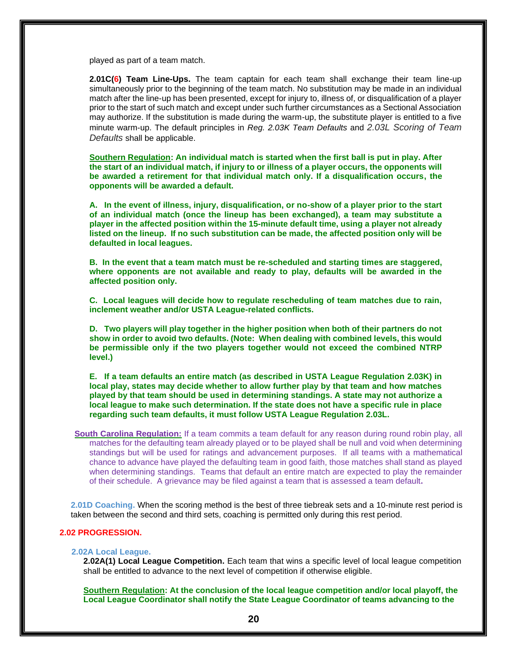played as part of a team match.

**2.01C(6) Team Line-Ups.** The team captain for each team shall exchange their team line-up simultaneously prior to the beginning of the team match. No substitution may be made in an individual match after the line-up has been presented, except for injury to, illness of, or disqualification of a player prior to the start of such match and except under such further circumstances as a Sectional Association may authorize. If the substitution is made during the warm-up, the substitute player is entitled to a five minute warm-up. The default principles in *Reg. 2.03K Team Defaults* and *2.03L Scoring of Team Defaults* shall be applicable.

**Southern Regulation: An individual match is started when the first ball is put in play. After the start of an individual match, if injury to or illness of a player occurs, the opponents will be awarded a retirement for that individual match only. If a disqualification occurs, the opponents will be awarded a default.**

**A. In the event of illness, injury, disqualification, or no-show of a player prior to the start of an individual match (once the lineup has been exchanged), a team may substitute a player in the affected position within the 15-minute default time, using a player not already listed on the lineup. If no such substitution can be made, the affected position only will be defaulted in local leagues.** 

**B. In the event that a team match must be re-scheduled and starting times are staggered, where opponents are not available and ready to play, defaults will be awarded in the affected position only.**

**C. Local leagues will decide how to regulate rescheduling of team matches due to rain, inclement weather and/or USTA League-related conflicts.** 

**D. Two players will play together in the higher position when both of their partners do not show in order to avoid two defaults. (Note: When dealing with combined levels, this would be permissible only if the two players together would not exceed the combined NTRP level.)**

**E. If a team defaults an entire match (as described in USTA League Regulation 2.03K) in local play, states may decide whether to allow further play by that team and how matches played by that team should be used in determining standings. A state may not authorize a local league to make such determination. If the state does not have a specific rule in place regarding such team defaults, it must follow USTA League Regulation 2.03L.** 

**South Carolina Regulation:** If a team commits a team default for any reason during round robin play, all matches for the defaulting team already played or to be played shall be null and void when determining standings but will be used for ratings and advancement purposes. If all teams with a mathematical chance to advance have played the defaulting team in good faith, those matches shall stand as played when determining standings. Teams that default an entire match are expected to play the remainder of their schedule. A grievance may be filed against a team that is assessed a team default**.**

**2.01D Coaching.** When the scoring method is the best of three tiebreak sets and a 10-minute rest period is taken between the second and third sets, coaching is permitted only during this rest period.

# **2.02 PROGRESSION.**

# **2.02A Local League.**

**2.02A(1) Local League Competition.** Each team that wins a specific level of local league competition shall be entitled to advance to the next level of competition if otherwise eligible.

**Southern Regulation: At the conclusion of the local league competition and/or local playoff, the Local League Coordinator shall notify the State League Coordinator of teams advancing to the**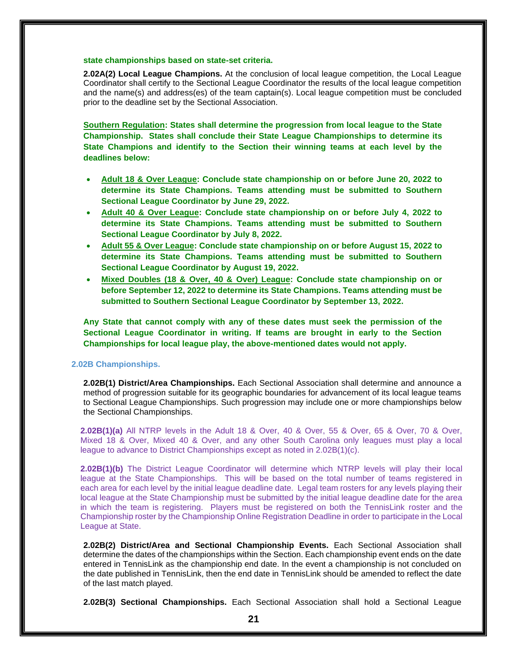# **state championships based on state-set criteria.**

**2.02A(2) Local League Champions.** At the conclusion of local league competition, the Local League Coordinator shall certify to the Sectional League Coordinator the results of the local league competition and the name(s) and address(es) of the team captain(s). Local league competition must be concluded prior to the deadline set by the Sectional Association.

**Southern Regulation: States shall determine the progression from local league to the State Championship. States shall conclude their State League Championships to determine its State Champions and identify to the Section their winning teams at each level by the deadlines below:**

- **Adult 18 & Over League: Conclude state championship on or before June 20, 2022 to determine its State Champions. Teams attending must be submitted to Southern Sectional League Coordinator by June 29, 2022.**
- **Adult 40 & Over League: Conclude state championship on or before July 4, 2022 to determine its State Champions. Teams attending must be submitted to Southern Sectional League Coordinator by July 8, 2022.**
- **Adult 55 & Over League: Conclude state championship on or before August 15, 2022 to determine its State Champions. Teams attending must be submitted to Southern Sectional League Coordinator by August 19, 2022.**
- **Mixed Doubles (18 & Over, 40 & Over) League: Conclude state championship on or before September 12, 2022 to determine its State Champions. Teams attending must be submitted to Southern Sectional League Coordinator by September 13, 2022.**

**Any State that cannot comply with any of these dates must seek the permission of the Sectional League Coordinator in writing. If teams are brought in early to the Section Championships for local league play, the above-mentioned dates would not apply.**

# **2.02B Championships.**

**2.02B(1) District/Area Championships.** Each Sectional Association shall determine and announce a method of progression suitable for its geographic boundaries for advancement of its local league teams to Sectional League Championships. Such progression may include one or more championships below the Sectional Championships.

**2.02B(1)(a)** All NTRP levels in the Adult 18 & Over, 40 & Over, 55 & Over, 65 & Over, 70 & Over, Mixed 18 & Over, Mixed 40 & Over, and any other South Carolina only leagues must play a local league to advance to District Championships except as noted in 2.02B(1)(c).

**2.02B(1)(b)** The District League Coordinator will determine which NTRP levels will play their local league at the State Championships. This will be based on the total number of teams registered in each area for each level by the initial league deadline date. Legal team rosters for any levels playing their local league at the State Championship must be submitted by the initial league deadline date for the area in which the team is registering. Players must be registered on both the TennisLink roster and the Championship roster by the Championship Online Registration Deadline in order to participate in the Local League at State.

**2.02B(2) District/Area and Sectional Championship Events.** Each Sectional Association shall determine the dates of the championships within the Section. Each championship event ends on the date entered in TennisLink as the championship end date. In the event a championship is not concluded on the date published in TennisLink, then the end date in TennisLink should be amended to reflect the date of the last match played.

**2.02B(3) Sectional Championships.** Each Sectional Association shall hold a Sectional League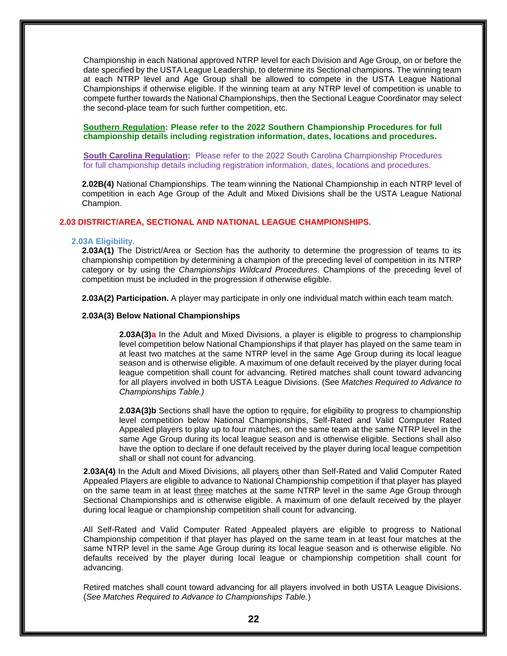Championship in each National approved NTRP level for each Division and Age Group, on or before the date specified by the USTA League Leadership, to determine its Sectional champions. The winning team at each NTRP level and Age Group shall be allowed to compete in the USTA League National Championships if otherwise eligible. If the winning team at any NTRP level of competition is unable to compete further towards the National Championships, then the Sectional League Coordinator may select the second-place team for such further competition, etc.

**Southern Regulation: Please refer to the 2022 Southern Championship Procedures for full championship details including registration information, dates, locations and procedures.**

**South Carolina Regulation:** Please refer to the 2022 South Carolina Championship Procedures for full championship details including registration information, dates, locations and procedures.

**2.02B(4)** National Championships. The team winning the National Championship in each NTRP level of competition in each Age Group of the Adult and Mixed Divisions shall be the USTA League National Champion.

# **2.03 DISTRICT/AREA, SECTIONAL AND NATIONAL LEAGUE CHAMPIONSHIPS.**

#### **2.03A Eligibility.**

**2.03A(1)** The District/Area or Section has the authority to determine the progression of teams to its championship competition by determining a champion of the preceding level of competition in its NTRP category or by using the *Championships Wildcard Procedures*. Champions of the preceding level of competition must be included in the progression if otherwise eligible.

**2.03A(2) Participation.** A player may participate in only one individual match within each team match.

# **2.03A(3) Below National Championships**

**2.03A(3)a** In the Adult and Mixed Divisions, a player is eligible to progress to championship level competition below National Championships if that player has played on the same team in at least two matches at the same NTRP level in the same Age Group during its local league season and is otherwise eligible. A maximum of one default received by the player during local league competition shall count for advancing. Retired matches shall count toward advancing for all players involved in both USTA League Divisions. (See *Matches Required to Advance to Championships Table.)*

**2.03A(3)b** Sections shall have the option to require, for eligibility to progress to championship level competition below National Championships, Self-Rated and Valid Computer Rated Appealed players to play up to four matches, on the same team at the same NTRP level in the same Age Group during its local league season and is otherwise eligible. Sections shall also have the option to declare if one default received by the player during local league competition shall or shall not count for advancing.

**2.03A(4)** In the Adult and Mixed Divisions, all players other than Self-Rated and Valid Computer Rated Appealed Players are eligible to advance to National Championship competition if that player has played on the same team in at least three matches at the same NTRP level in the same Age Group through Sectional Championships and is otherwise eligible. A maximum of one default received by the player during local league or championship competition shall count for advancing.

All Self-Rated and Valid Computer Rated Appealed players are eligible to progress to National Championship competition if that player has played on the same team in at least four matches at the same NTRP level in the same Age Group during its local league season and is otherwise eligible. No defaults received by the player during local league or championship competition shall count for advancing.

Retired matches shall count toward advancing for all players involved in both USTA League Divisions. (*See Matches Required to Advance to Championships Table.*)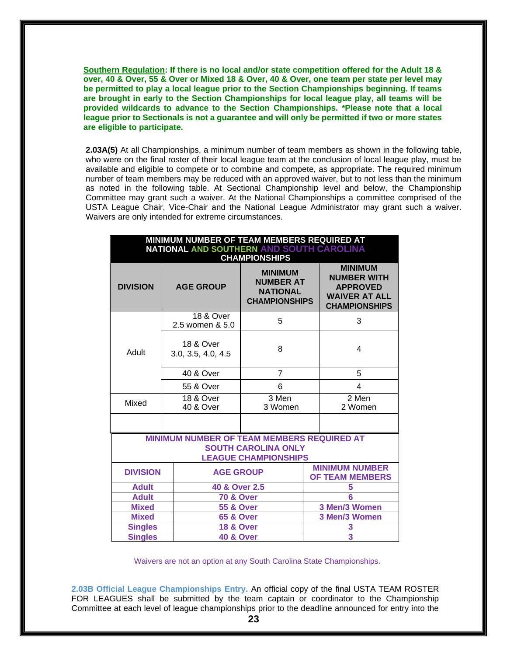**Southern Regulation: If there is no local and/or state competition offered for the Adult 18 & over, 40 & Over, 55 & Over or Mixed 18 & Over, 40 & Over, one team per state per level may be permitted to play a local league prior to the Section Championships beginning. If teams are brought in early to the Section Championships for local league play, all teams will be provided wildcards to advance to the Section Championships. \*Please note that a local league prior to Sectionals is not a guarantee and will only be permitted if two or more states are eligible to participate.**

**2.03A(5)** At all Championships, a minimum number of team members as shown in the following table, who were on the final roster of their local league team at the conclusion of local league play, must be available and eligible to compete or to combine and compete, as appropriate. The required minimum number of team members may be reduced with an approved waiver, but to not less than the minimum as noted in the following table. At Sectional Championship level and below, the Championship Committee may grant such a waiver. At the National Championships a committee comprised of the USTA League Chair, Vice-Chair and the National League Administrator may grant such a waiver. Waivers are only intended for extreme circumstances.

| MINIMUM NUMBER OF TEAM MEMBERS REQUIRED AT<br>NATIONAL AND SOUTHERN AND SOUTH CAROLINA<br><b>CHAMPIONSHIPS</b> |                                                                                                         |                                                                               |  |                                                                                                         |  |
|----------------------------------------------------------------------------------------------------------------|---------------------------------------------------------------------------------------------------------|-------------------------------------------------------------------------------|--|---------------------------------------------------------------------------------------------------------|--|
| <b>DIVISION</b>                                                                                                | <b>AGE GROUP</b>                                                                                        | <b>MINIMUM</b><br><b>NUMBER AT</b><br><b>NATIONAL</b><br><b>CHAMPIONSHIPS</b> |  | <b>MINIMUM</b><br><b>NUMBER WITH</b><br><b>APPROVED</b><br><b>WAIVER AT ALL</b><br><b>CHAMPIONSHIPS</b> |  |
|                                                                                                                | <b>18 &amp; Over</b><br>2.5 women & 5.0                                                                 | 5                                                                             |  | 3                                                                                                       |  |
| Adult                                                                                                          | <b>18 &amp; Over</b><br>3.0, 3.5, 4.0, 4.5                                                              | 8                                                                             |  | 4                                                                                                       |  |
|                                                                                                                | 40 & Over                                                                                               | 7                                                                             |  | 5                                                                                                       |  |
|                                                                                                                | 55 & Over                                                                                               | 6                                                                             |  | 4                                                                                                       |  |
| Mixed                                                                                                          | 18 & Over<br>40 & Over                                                                                  | 3 Men<br>3 Women                                                              |  | 2 Men<br>2 Women                                                                                        |  |
|                                                                                                                |                                                                                                         |                                                                               |  |                                                                                                         |  |
|                                                                                                                | MINIMUM NUMBER OF TEAM MEMBERS REQUIRED AT<br><b>SOUTH CAROLINA ONLY</b><br><b>LEAGUE CHAMPIONSHIPS</b> |                                                                               |  |                                                                                                         |  |
| <b>DIVISION</b>                                                                                                | <b>AGE GROUP</b>                                                                                        |                                                                               |  | <b>MINIMUM NUMBER</b><br><b>OF TEAM MEMBERS</b>                                                         |  |
| <b>Adult</b>                                                                                                   | 40 & Over 2.5                                                                                           |                                                                               |  | 5                                                                                                       |  |
| <b>Adult</b>                                                                                                   | <b>70 &amp; Over</b>                                                                                    |                                                                               |  | 6                                                                                                       |  |
| <b>Mixed</b>                                                                                                   | <b>55 &amp; Over</b>                                                                                    |                                                                               |  | 3 Men/3 Women                                                                                           |  |
| <b>Mixed</b>                                                                                                   | <b>65 &amp; Over</b>                                                                                    |                                                                               |  | 3 Men/3 Women                                                                                           |  |
| <b>Singles</b>                                                                                                 | <b>18 &amp; Over</b>                                                                                    |                                                                               |  | 3                                                                                                       |  |
| <b>Singles</b>                                                                                                 | <b>40 &amp; Over</b>                                                                                    |                                                                               |  | $\overline{3}$                                                                                          |  |

Waivers are not an option at any South Carolina State Championships.

**2.03B Official League Championships Entry.** An official copy of the final USTA TEAM ROSTER FOR LEAGUES shall be submitted by the team captain or coordinator to the Championship Committee at each level of league championships prior to the deadline announced for entry into the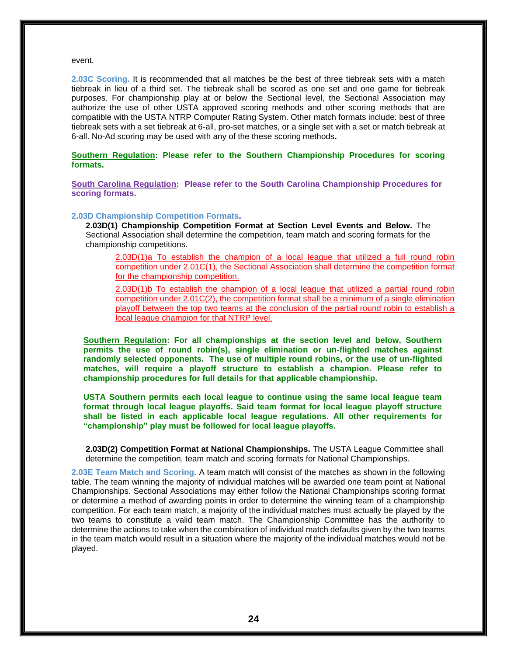#### event.

**2.03C Scoring.** It is recommended that all matches be the best of three tiebreak sets with a match tiebreak in lieu of a third set. The tiebreak shall be scored as one set and one game for tiebreak purposes. For championship play at or below the Sectional level, the Sectional Association may authorize the use of other USTA approved scoring methods and other scoring methods that are compatible with the USTA NTRP Computer Rating System. Other match formats include: best of three tiebreak sets with a set tiebreak at 6-all, pro-set matches, or a single set with a set or match tiebreak at 6-all. No-Ad scoring may be used with any of the these scoring methods**.**

**Southern Regulation: Please refer to the Southern Championship Procedures for scoring formats.**

**South Carolina Regulation: Please refer to the South Carolina Championship Procedures for scoring formats.**

#### **2.03D Championship Competition Formats.**

**2.03D(1) Championship Competition Format at Section Level Events and Below.** The Sectional Association shall determine the competition, team match and scoring formats for the championship competitions.

2.03D(1)a To establish the champion of a local league that utilized a full round robin competition under 2.01C(1), the Sectional Association shall determine the competition format for the championship competition.

2.03D(1)b To establish the champion of a local league that utilized a partial round robin competition under 2.01C(2), the competition format shall be a minimum of a single elimination playoff between the top two teams at the conclusion of the partial round robin to establish a local league champion for that NTRP level.

**Southern Regulation: For all championships at the section level and below, Southern permits the use of round robin(s), single elimination or un-flighted matches against randomly selected opponents. The use of multiple round robins, or the use of un-flighted matches, will require a playoff structure to establish a champion. Please refer to championship procedures for full details for that applicable championship.** 

**USTA Southern permits each local league to continue using the same local league team format through local league playoffs. Said team format for local league playoff structure shall be listed in each applicable local league regulations. All other requirements for "championship" play must be followed for local league playoffs.** 

**2.03D(2) Competition Format at National Championships.** The USTA League Committee shall determine the competition, team match and scoring formats for National Championships.

**2.03E Team Match and Scoring.** A team match will consist of the matches as shown in the following table. The team winning the majority of individual matches will be awarded one team point at National Championships. Sectional Associations may either follow the National Championships scoring format or determine a method of awarding points in order to determine the winning team of a championship competition. For each team match, a majority of the individual matches must actually be played by the two teams to constitute a valid team match. The Championship Committee has the authority to determine the actions to take when the combination of individual match defaults given by the two teams in the team match would result in a situation where the majority of the individual matches would not be played.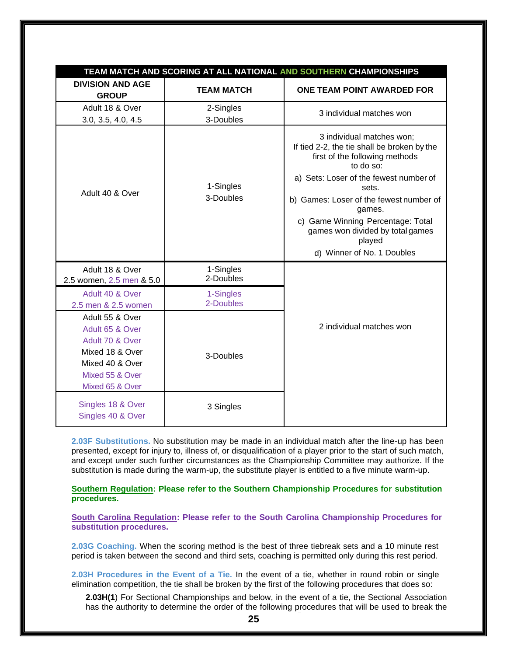|                                                                                                                                   |                        | TEAM MATCH AND SCORING AT ALL NATIONAL AND SOUTHERN CHAMPIONSHIPS                                                                                                                                                                                                                                                  |
|-----------------------------------------------------------------------------------------------------------------------------------|------------------------|--------------------------------------------------------------------------------------------------------------------------------------------------------------------------------------------------------------------------------------------------------------------------------------------------------------------|
| <b>DIVISION AND AGE</b><br><b>GROUP</b>                                                                                           | <b>TEAM MATCH</b>      | ONE TEAM POINT AWARDED FOR                                                                                                                                                                                                                                                                                         |
| Adult 18 & Over                                                                                                                   | 2-Singles              | 3 individual matches won                                                                                                                                                                                                                                                                                           |
| 3.0, 3.5, 4.0, 4.5                                                                                                                | 3-Doubles              |                                                                                                                                                                                                                                                                                                                    |
| Adult 40 & Over                                                                                                                   | 1-Singles<br>3-Doubles | 3 individual matches won;<br>If tied 2-2, the tie shall be broken by the<br>first of the following methods<br>to do so:<br>a) Sets: Loser of the fewest number of<br>sets.<br>b) Games: Loser of the fewest number of<br>games.<br>c) Game Winning Percentage: Total<br>games won divided by total games<br>played |
|                                                                                                                                   |                        | d) Winner of No. 1 Doubles                                                                                                                                                                                                                                                                                         |
| Adult 18 & Over                                                                                                                   | 1-Singles              |                                                                                                                                                                                                                                                                                                                    |
| 2.5 women, 2.5 men & 5.0                                                                                                          | 2-Doubles              |                                                                                                                                                                                                                                                                                                                    |
| Adult 40 & Over                                                                                                                   | 1-Singles              |                                                                                                                                                                                                                                                                                                                    |
| 2.5 men & 2.5 women                                                                                                               | 2-Doubles              |                                                                                                                                                                                                                                                                                                                    |
| Adult 55 & Over<br>Adult 65 & Over<br>Adult 70 & Over<br>Mixed 18 & Over<br>Mixed 40 & Over<br>Mixed 55 & Over<br>Mixed 65 & Over | 3-Doubles              | 2 individual matches won                                                                                                                                                                                                                                                                                           |
| Singles 18 & Over<br>Singles 40 & Over                                                                                            | 3 Singles              |                                                                                                                                                                                                                                                                                                                    |

**2.03F Substitutions.** No substitution may be made in an individual match after the line-up has been presented, except for injury to, illness of, or disqualification of a player prior to the start of such match, and except under such further circumstances as the Championship Committee may authorize. If the substitution is made during the warm-up, the substitute player is entitled to a five minute warm-up.

**Southern Regulation: Please refer to the Southern Championship Procedures for substitution procedures.** 

**South Carolina Regulation: Please refer to the South Carolina Championship Procedures for substitution procedures.**

**2.03G Coaching.** When the scoring method is the best of three tiebreak sets and a 10 minute rest period is taken between the second and third sets, coaching is permitted only during this rest period.

**2.03H Procedures in the Event of a Tie.** In the event of a tie, whether in round robin or single elimination competition, the tie shall be broken by the first of the following procedures that does so:

**2.03H(1**) For Sectional Championships and below, in the event of a tie, the Sectional Association has the authority to determine the order of the following procedures that will be used to break the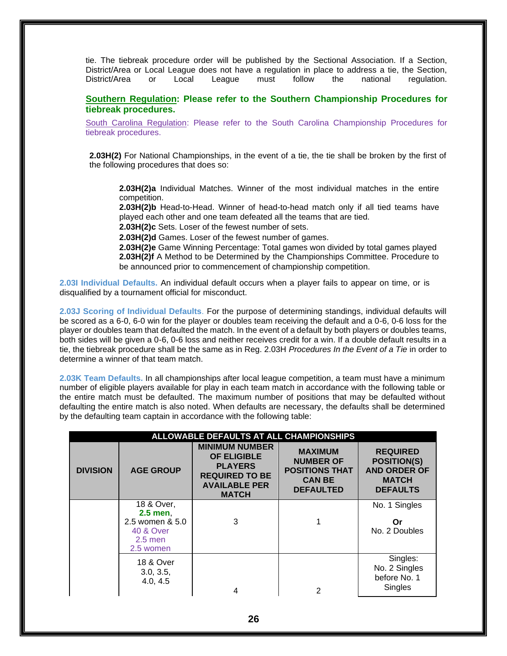tie. The tiebreak procedure order will be published by the Sectional Association. If a Section, District/Area or Local League does not have a regulation in place to address a tie, the Section, District/Area or Local League must follow the national regulation.

# **Southern Regulation: Please refer to the Southern Championship Procedures for tiebreak procedures.**

South Carolina Regulation: Please refer to the South Carolina Championship Procedures for tiebreak procedures.

**2.03H(2)** For National Championships, in the event of a tie, the tie shall be broken by the first of the following procedures that does so:

**2.03H(2)a** Individual Matches. Winner of the most individual matches in the entire competition.

**2.03H(2)b** Head-to-Head. Winner of head-to-head match only if all tied teams have played each other and one team defeated all the teams that are tied.

**2.03H(2)c** Sets. Loser of the fewest number of sets.

**2.03H(2)d** Games. Loser of the fewest number of games.

**2.03H(2)e** Game Winning Percentage: Total games won divided by total games played **2.03H(2)f** A Method to be Determined by the Championships Committee. Procedure to be announced prior to commencement of championship competition.

**2.03I Individual Defaults.** An individual default occurs when a player fails to appear on time, or is disqualified by a tournament official for misconduct.

**2.03J Scoring of Individual Defaults**. For the purpose of determining standings, individual defaults will be scored as a 6-0, 6-0 win for the player or doubles team receiving the default and a 0-6, 0-6 loss for the player or doubles team that defaulted the match. In the event of a default by both players or doubles teams, both sides will be given a 0-6, 0-6 loss and neither receives credit for a win. If a double default results in a tie, the tiebreak procedure shall be the same as in Reg. 2.03H *Procedures In the Event of a Tie* in order to determine a winner of that team match.

**2.03K Team Defaults.** In all championships after local league competition, a team must have a minimum number of eligible players available for play in each team match in accordance with the following table or the entire match must be defaulted. The maximum number of positions that may be defaulted without defaulting the entire match is also noted. When defaults are necessary, the defaults shall be determined by the defaulting team captain in accordance with the following table:

| ALLOWABLE DEFAULTS AT ALL CHAMPIONSHIPS |                                                                                               |                                                                                                                                |                                                                                                  |                                                                                                 |  |  |  |
|-----------------------------------------|-----------------------------------------------------------------------------------------------|--------------------------------------------------------------------------------------------------------------------------------|--------------------------------------------------------------------------------------------------|-------------------------------------------------------------------------------------------------|--|--|--|
| <b>DIVISION</b>                         | <b>AGE GROUP</b>                                                                              | <b>MINIMUM NUMBER</b><br><b>OF ELIGIBLE</b><br><b>PLAYERS</b><br><b>REQUIRED TO BE</b><br><b>AVAILABLE PER</b><br><b>MATCH</b> | <b>MAXIMUM</b><br><b>NUMBER OF</b><br><b>POSITIONS THAT</b><br><b>CAN BE</b><br><b>DEFAULTED</b> | <b>REQUIRED</b><br><b>POSITION(S)</b><br><b>AND ORDER OF</b><br><b>MATCH</b><br><b>DEFAULTS</b> |  |  |  |
|                                         | 18 & Over,<br>$2.5$ men,<br>2.5 women & 5.0<br><b>40 &amp; Over</b><br>$2.5$ men<br>2.5 women | 3                                                                                                                              |                                                                                                  | No. 1 Singles<br>Or<br>No. 2 Doubles                                                            |  |  |  |
|                                         | <b>18 &amp; Over</b><br>3.0, 3.5,<br>4.0, 4.5                                                 |                                                                                                                                | 2                                                                                                | Singles:<br>No. 2 Singles<br>before No. 1<br>Singles                                            |  |  |  |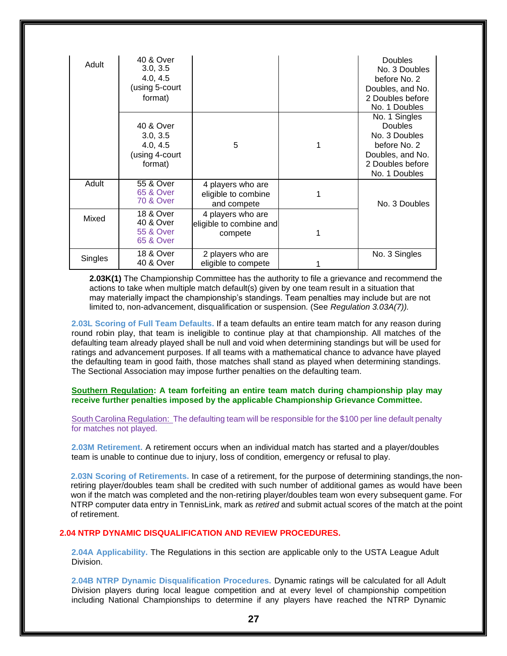| Adult   | 40 & Over<br>3.0, 3.5<br>4.0, 4.5<br>(using 5-court<br>format)         |                                                         | <b>Doubles</b><br>No. 3 Doubles<br>before No. 2<br>Doubles, and No.<br>2 Doubles before<br>No. 1 Doubles                  |
|---------|------------------------------------------------------------------------|---------------------------------------------------------|---------------------------------------------------------------------------------------------------------------------------|
|         | 40 & Over<br>3.0, 3.5<br>4.0, 4.5<br>(using 4-court<br>format)         | 5                                                       | No. 1 Singles<br><b>Doubles</b><br>No. 3 Doubles<br>before No. 2<br>Doubles, and No.<br>2 Doubles before<br>No. 1 Doubles |
| Adult   | 55 & Over<br><b>65 &amp; Over</b><br><b>70 &amp; Over</b>              | 4 players who are<br>eligible to combine<br>and compete | No. 3 Doubles                                                                                                             |
| Mixed   | <b>18 &amp; Over</b><br>40 & Over<br>55 & Over<br><b>65 &amp; Over</b> | 4 players who are<br>eligible to combine and<br>compete |                                                                                                                           |
| Singles | <b>18 &amp; Over</b><br>40 & Over                                      | 2 players who are<br>eligible to compete                | No. 3 Singles                                                                                                             |

**2.03K(1)** The Championship Committee has the authority to file a grievance and recommend the actions to take when multiple match default(s) given by one team result in a situation that may materially impact the championship's standings. Team penalties may include but are not limited to, non-advancement, disqualification or suspension. (See *Regulation 3.03A(7)).*

**2.03L Scoring of Full Team Defaults.** If a team defaults an entire team match for any reason during round robin play, that team is ineligible to continue play at that championship. All matches of the defaulting team already played shall be null and void when determining standings but will be used for ratings and advancement purposes. If all teams with a mathematical chance to advance have played the defaulting team in good faith, those matches shall stand as played when determining standings. The Sectional Association may impose further penalties on the defaulting team.

# **Southern Regulation: A team forfeiting an entire team match during championship play may receive further penalties imposed by the applicable Championship Grievance Committee.**

South Carolina Regulation: The defaulting team will be responsible for the \$100 per line default penalty for matches not played.

**2.03M Retirement.** A retirement occurs when an individual match has started and a player/doubles team is unable to continue due to injury, loss of condition, emergency or refusal to play.

**2.03N Scoring of Retirements.** In case of a retirement, for the purpose of determining standings,the nonretiring player/doubles team shall be credited with such number of additional games as would have been won if the match was completed and the non-retiring player/doubles team won every subsequent game. For NTRP computer data entry in TennisLink, mark as *retired* and submit actual scores of the match at the point of retirement.

# **2.04 NTRP DYNAMIC DISQUALIFICATION AND REVIEW PROCEDURES.**

**2.04A Applicability.** The Regulations in this section are applicable only to the USTA League Adult Division.

**2.04B NTRP Dynamic Disqualification Procedures.** Dynamic ratings will be calculated for all Adult Division players during local league competition and at every level of championship competition including National Championships to determine if any players have reached the NTRP Dynamic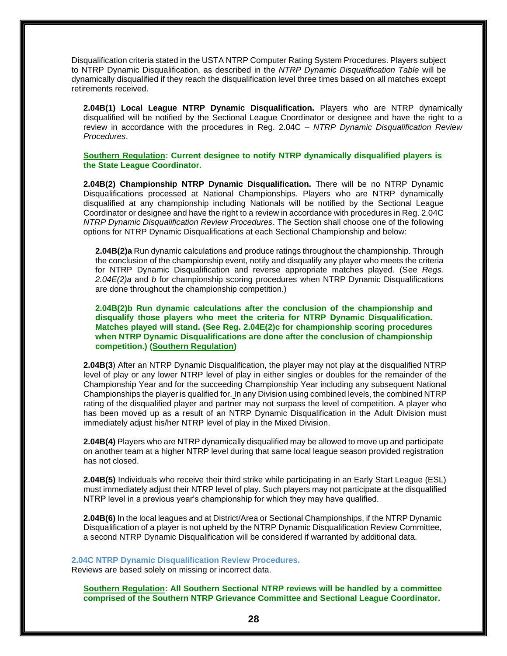Disqualification criteria stated in the USTA NTRP Computer Rating System Procedures. Players subject to NTRP Dynamic Disqualification, as described in the *NTRP Dynamic Disqualification Table* will be dynamically disqualified if they reach the disqualification level three times based on all matches except retirements received.

**2.04B(1) Local League NTRP Dynamic Disqualification.** Players who are NTRP dynamically disqualified will be notified by the Sectional League Coordinator or designee and have the right to a review in accordance with the procedures in Reg. 2.04C – *NTRP Dynamic Disqualification Review Procedures*.

**Southern Regulation: Current designee to notify NTRP dynamically disqualified players is the State League Coordinator.** 

**2.04B(2) Championship NTRP Dynamic Disqualification.** There will be no NTRP Dynamic Disqualifications processed at National Championships. Players who are NTRP dynamically disqualified at any championship including Nationals will be notified by the Sectional League Coordinator or designee and have the right to a review in accordance with procedures in Reg. 2.04C *NTRP Dynamic Disqualification Review Procedures*. The Section shall choose one of the following options for NTRP Dynamic Disqualifications at each Sectional Championship and below:

**2.04B(2)a** Run dynamic calculations and produce ratings throughout the championship. Through the conclusion of the championship event, notify and disqualify any player who meets the criteria for NTRP Dynamic Disqualification and reverse appropriate matches played. (See *Regs. 2.04E(2)a* and *b* for championship scoring procedures when NTRP Dynamic Disqualifications are done throughout the championship competition.)

**2.04B(2)b Run dynamic calculations after the conclusion of the championship and disqualify those players who meet the criteria for NTRP Dynamic Disqualification. Matches played will stand. (See Reg. 2.04E(2)c for championship scoring procedures when NTRP Dynamic Disqualifications are done after the conclusion of championship competition.) (Southern Regulation)**

**2.04B(3**) After an NTRP Dynamic Disqualification, the player may not play at the disqualified NTRP level of play or any lower NTRP level of play in either singles or doubles for the remainder of the Championship Year and for the succeeding Championship Year including any subsequent National Championships the player is qualified for. In any Division using combined levels, the combined NTRP rating of the disqualified player and partner may not surpass the level of competition. A player who has been moved up as a result of an NTRP Dynamic Disqualification in the Adult Division must immediately adjust his/her NTRP level of play in the Mixed Division.

**2.04B(4)** Players who are NTRP dynamically disqualified may be allowed to move up and participate on another team at a higher NTRP level during that same local league season provided registration has not closed.

**2.04B(5)** Individuals who receive their third strike while participating in an Early Start League (ESL) must immediately adjust their NTRP level of play. Such players may not participate at the disqualified NTRP level in a previous year's championship for which they may have qualified.

**2.04B(6)** In the local leagues and at District/Area or Sectional Championships, if the NTRP Dynamic Disqualification of a player is not upheld by the NTRP Dynamic Disqualification Review Committee, a second NTRP Dynamic Disqualification will be considered if warranted by additional data.

**2.04C NTRP Dynamic Disqualification Review Procedures.**  Reviews are based solely on missing or incorrect data.

**Southern Regulation: All Southern Sectional NTRP reviews will be handled by a committee comprised of the Southern NTRP Grievance Committee and Sectional League Coordinator.**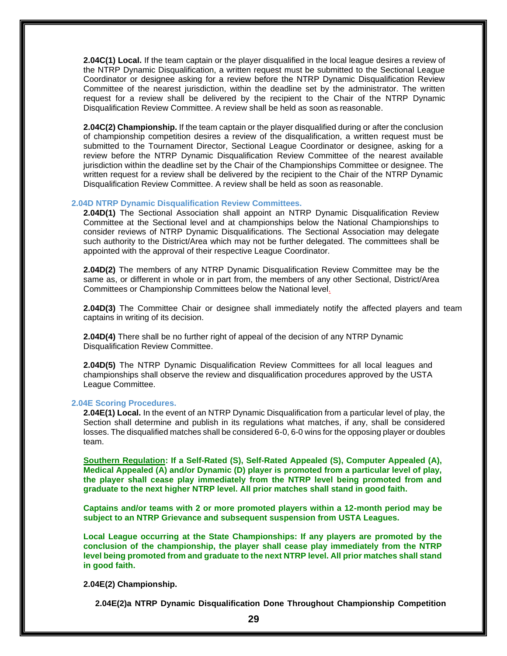**2.04C(1) Local.** If the team captain or the player disqualified in the local league desires a review of the NTRP Dynamic Disqualification, a written request must be submitted to the Sectional League Coordinator or designee asking for a review before the NTRP Dynamic Disqualification Review Committee of the nearest jurisdiction, within the deadline set by the administrator. The written request for a review shall be delivered by the recipient to the Chair of the NTRP Dynamic Disqualification Review Committee. A review shall be held as soon as reasonable.

**2.04C(2) Championship.** If the team captain or the player disqualified during or after the conclusion of championship competition desires a review of the disqualification, a written request must be submitted to the Tournament Director, Sectional League Coordinator or designee, asking for a review before the NTRP Dynamic Disqualification Review Committee of the nearest available jurisdiction within the deadline set by the Chair of the Championships Committee or designee. The written request for a review shall be delivered by the recipient to the Chair of the NTRP Dynamic Disqualification Review Committee. A review shall be held as soon as reasonable.

#### **2.04D NTRP Dynamic Disqualification Review Committees.**

**2.04D(1)** The Sectional Association shall appoint an NTRP Dynamic Disqualification Review Committee at the Sectional level and at championships below the National Championships to consider reviews of NTRP Dynamic Disqualifications. The Sectional Association may delegate such authority to the District/Area which may not be further delegated. The committees shall be appointed with the approval of their respective League Coordinator.

**2.04D(2)** The members of any NTRP Dynamic Disqualification Review Committee may be the same as, or different in whole or in part from, the members of any other Sectional, District/Area Committees or Championship Committees below the National level.

**2.04D(3)** The Committee Chair or designee shall immediately notify the affected players and team captains in writing of its decision.

**2.04D(4)** There shall be no further right of appeal of the decision of any NTRP Dynamic Disqualification Review Committee.

**2.04D(5)** The NTRP Dynamic Disqualification Review Committees for all local leagues and championships shall observe the review and disqualification procedures approved by the USTA League Committee.

# **2.04E Scoring Procedures.**

**2.04E(1) Local.** In the event of an NTRP Dynamic Disqualification from a particular level of play, the Section shall determine and publish in its regulations what matches, if any, shall be considered losses. The disqualified matches shall be considered 6-0, 6-0 wins for the opposing player or doubles team.

**Southern Regulation: If a Self-Rated (S), Self-Rated Appealed (S), Computer Appealed (A), Medical Appealed (A) and/or Dynamic (D) player is promoted from a particular level of play, the player shall cease play immediately from the NTRP level being promoted from and graduate to the next higher NTRP level. All prior matches shall stand in good faith.** 

**Captains and/or teams with 2 or more promoted players within a 12-month period may be subject to an NTRP Grievance and subsequent suspension from USTA Leagues.**

**Local League occurring at the State Championships: If any players are promoted by the conclusion of the championship, the player shall cease play immediately from the NTRP level being promoted from and graduate to the next NTRP level. All prior matches shall stand in good faith.**

**2.04E(2) Championship.**

**2.04E(2)a NTRP Dynamic Disqualification Done Throughout Championship Competition**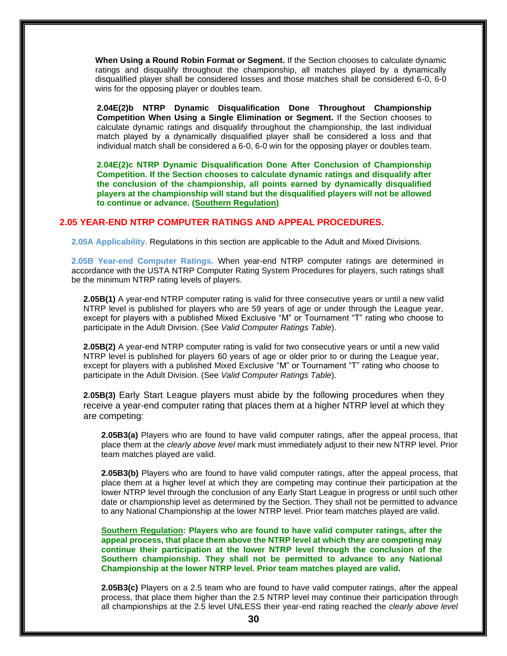**When Using a Round Robin Format or Segment.** If the Section chooses to calculate dynamic ratings and disqualify throughout the championship, all matches played by a dynamically disqualified player shall be considered losses and those matches shall be considered 6-0, 6-0 wins for the opposing player or doubles team.

**2.04E(2)b NTRP Dynamic Disqualification Done Throughout Championship Competition When Using a Single Elimination or Segment.** If the Section chooses to calculate dynamic ratings and disqualify throughout the championship, the last individual match played by a dynamically disqualified player shall be considered a loss and that individual match shall be considered a 6-0, 6-0 win for the opposing player or doubles team.

**2.04E(2)c NTRP Dynamic Disqualification Done After Conclusion of Championship Competition. If the Section chooses to calculate dynamic ratings and disqualify after the conclusion of the championship, all points earned by dynamically disqualified players at the championship will stand but the disqualified players will not be allowed to continue or advance. (Southern Regulation)** 

# **2.05 YEAR-END NTRP COMPUTER RATINGS AND APPEAL PROCEDURES.**

**2.05A Applicability.** Regulations in this section are applicable to the Adult and Mixed Divisions.

**2.05B Year-end Computer Ratings.** When year-end NTRP computer ratings are determined in accordance with the USTA NTRP Computer Rating System Procedures for players, such ratings shall be the minimum NTRP rating levels of players.

**2.05B(1)** A year-end NTRP computer rating is valid for three consecutive years or until a new valid NTRP level is published for players who are 59 years of age or under through the League year, except for players with a published Mixed Exclusive "M" or Tournament "T" rating who choose to participate in the Adult Division. (See *Valid Computer Ratings Table*).

**2.05B(2)** A year-end NTRP computer rating is valid for two consecutive years or until a new valid NTRP level is published for players 60 years of age or older prior to or during the League year, except for players with a published Mixed Exclusive "M" or Tournament "T" rating who choose to participate in the Adult Division. (See *Valid Computer Ratings Table*).

**2.05B(3)** Early Start League players must abide by the following procedures when they receive a year-end computer rating that places them at a higher NTRP level at which they are competing:

**2.05B3(a)** Players who are found to have valid computer ratings, after the appeal process, that place them at the *clearly above level* mark must immediately adjust to their new NTRP level. Prior team matches played are valid.

**2.05B3(b)** Players who are found to have valid computer ratings, after the appeal process, that place them at a higher level at which they are competing may continue their participation at the lower NTRP level through the conclusion of any Early Start League in progress or until such other date or championship level as determined by the Section. They shall not be permitted to advance to any National Championship at the lower NTRP level. Prior team matches played are valid.

**Southern Regulation: Players who are found to have valid computer ratings, after the appeal process, that place them above the NTRP level at which they are competing may continue their participation at the lower NTRP level through the conclusion of the Southern championship. They shall not be permitted to advance to any National Championship at the lower NTRP level. Prior team matches played are valid.**

**2.05B3(c)** Players on a 2.5 team who are found to have valid computer ratings, after the appeal process, that place them higher than the 2.5 NTRP level may continue their participation through all championships at the 2.5 level UNLESS their year-end rating reached the *clearly above level*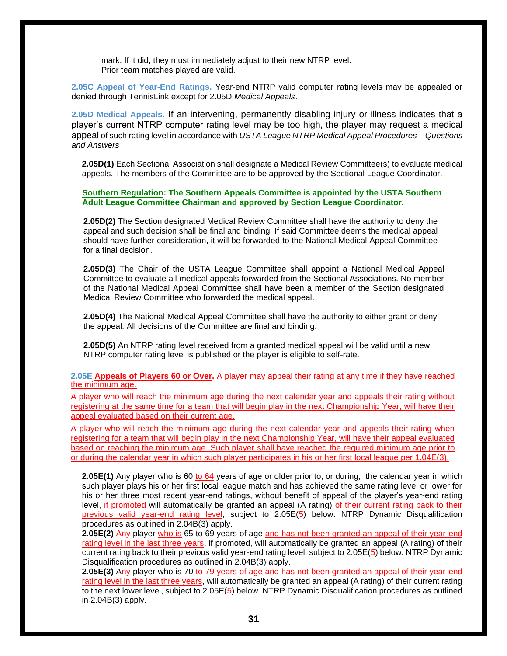mark. If it did, they must immediately adjust to their new NTRP level. Prior team matches played are valid.

**2.05C Appeal of Year-End Ratings.** Year-end NTRP valid computer rating levels may be appealed or denied through TennisLink except for 2.05D *Medical Appeals*.

**2.05D Medical Appeals.** If an intervening, permanently disabling injury or illness indicates that a player's current NTRP computer rating level may be too high, the player may request a medical appeal of such rating level in accordance with *USTA League NTRP Medical Appeal Procedures – Questions and Answers*

**2.05D(1)** Each Sectional Association shall designate a Medical Review Committee(s) to evaluate medical appeals. The members of the Committee are to be approved by the Sectional League Coordinator.

**Southern Regulation: The Southern Appeals Committee is appointed by the USTA Southern Adult League Committee Chairman and approved by Section League Coordinator.** 

**2.05D(2)** The Section designated Medical Review Committee shall have the authority to deny the appeal and such decision shall be final and binding. If said Committee deems the medical appeal should have further consideration, it will be forwarded to the National Medical Appeal Committee for a final decision.

**2.05D(3)** The Chair of the USTA League Committee shall appoint a National Medical Appeal Committee to evaluate all medical appeals forwarded from the Sectional Associations. No member of the National Medical Appeal Committee shall have been a member of the Section designated Medical Review Committee who forwarded the medical appeal.

**2.05D(4)** The National Medical Appeal Committee shall have the authority to either grant or deny the appeal. All decisions of the Committee are final and binding.

**2.05D(5)** An NTRP rating level received from a granted medical appeal will be valid until a new NTRP computer rating level is published or the player is eligible to self-rate.

**2.05E Appeals of Players 60 or Over.** A player may appeal their rating at any time if they have reached the minimum age.

A player who will reach the minimum age during the next calendar year and appeals their rating without registering at the same time for a team that will begin play in the next Championship Year, will have their appeal evaluated based on their current age.

A player who will reach the minimum age during the next calendar year and appeals their rating when registering for a team that will begin play in the next Championship Year, will have their appeal evaluated based on reaching the minimum age. Such player shall have reached the required minimum age prior to or during the calendar year in which such player participates in his or her first local league per 1.04E(3).

**2.05E(1)** Any player who is 60 to 64 years of age or older prior to, or during, the calendar year in which such player plays his or her first local league match and has achieved the same rating level or lower for his or her three most recent year-end ratings, without benefit of appeal of the player's year-end rating level, if promoted will automatically be granted an appeal (A rating) of their current rating back to their previous valid year-end rating level, subject to 2.05E(5) below. NTRP Dynamic Disqualification procedures as outlined in 2.04B(3) apply.

**2.05E(2)** Any player who is 65 to 69 years of age and has not been granted an appeal of their year-end rating level in the last three years, if promoted, will automatically be granted an appeal (A rating) of their current rating back to their previous valid year-end rating level, subject to 2.05E(5) below. NTRP Dynamic Disqualification procedures as outlined in 2.04B(3) apply.

**2.05E(3)** Any player who is 70 to 79 years of age and has not been granted an appeal of their year-end rating level in the last three years, will automatically be granted an appeal (A rating) of their current rating to the next lower level, subject to 2.05E(5) below. NTRP Dynamic Disqualification procedures as outlined in 2.04B(3) apply.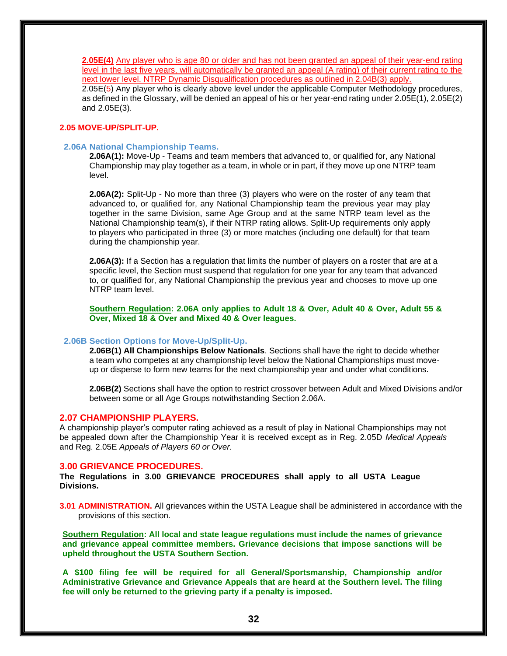**2.05E(4)** Any player who is age 80 or older and has not been granted an appeal of their year-end rating level in the last five years, will automatically be granted an appeal (A rating) of their current rating to the next lower level. NTRP Dynamic Disqualification procedures as outlined in 2.04B(3) apply. 2.05E(5) Any player who is clearly above level under the applicable Computer Methodology procedures, as defined in the Glossary, will be denied an appeal of his or her year-end rating under 2.05E(1), 2.05E(2) and 2.05E(3).

# **2.05 MOVE-UP/SPLIT-UP.**

# **2.06A National Championship Teams.**

**2.06A(1):** Move-Up - Teams and team members that advanced to, or qualified for, any National Championship may play together as a team, in whole or in part, if they move up one NTRP team level.

**2.06A(2):** Split-Up - No more than three (3) players who were on the roster of any team that advanced to, or qualified for, any National Championship team the previous year may play together in the same Division, same Age Group and at the same NTRP team level as the National Championship team(s), if their NTRP rating allows. Split-Up requirements only apply to players who participated in three (3) or more matches (including one default) for that team during the championship year.

**2.06A(3):** If a Section has a regulation that limits the number of players on a roster that are at a specific level, the Section must suspend that regulation for one year for any team that advanced to, or qualified for, any National Championship the previous year and chooses to move up one NTRP team level.

**Southern Regulation: 2.06A only applies to Adult 18 & Over, Adult 40 & Over, Adult 55 & Over, Mixed 18 & Over and Mixed 40 & Over leagues.** 

## **2.06B Section Options for Move-Up/Split-Up.**

**2.06B(1) All Championships Below Nationals**. Sections shall have the right to decide whether a team who competes at any championship level below the National Championships must moveup or disperse to form new teams for the next championship year and under what conditions.

**2.06B(2)** Sections shall have the option to restrict crossover between Adult and Mixed Divisions and/or between some or all Age Groups notwithstanding Section 2.06A.

# **2.07 CHAMPIONSHIP PLAYERS.**

A championship player's computer rating achieved as a result of play in National Championships may not be appealed down after the Championship Year it is received except as in Reg. 2.05D *Medical Appeals*  and Reg. 2.05E *Appeals of Players 60 or Over.*

# **3.00 GRIEVANCE PROCEDURES.**

**The Regulations in 3.00 GRIEVANCE PROCEDURES shall apply to all USTA League Divisions.**

**3.01 ADMINISTRATION.** All grievances within the USTA League shall be administered in accordance with the provisions of this section.

**Southern Regulation: All local and state league regulations must include the names of grievance and grievance appeal committee members. Grievance decisions that impose sanctions will be upheld throughout the USTA Southern Section.**

**A \$100 filing fee will be required for all General/Sportsmanship, Championship and/or Administrative Grievance and Grievance Appeals that are heard at the Southern level. The filing fee will only be returned to the grieving party if a penalty is imposed.**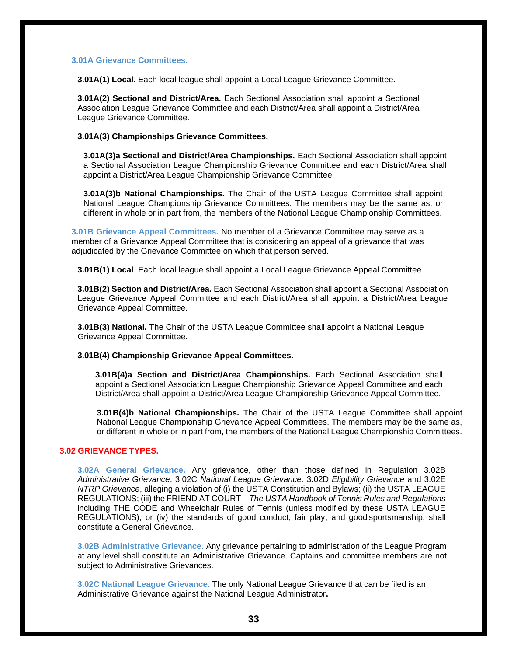# **3.01A Grievance Committees.**

**3.01A(1) Local.** Each local league shall appoint a Local League Grievance Committee.

**3.01A(2) Sectional and District/Area.** Each Sectional Association shall appoint a Sectional Association League Grievance Committee and each District/Area shall appoint a District/Area League Grievance Committee.

**3.01A(3) Championships Grievance Committees.**

**3.01A(3)a Sectional and District/Area Championships.** Each Sectional Association shall appoint a Sectional Association League Championship Grievance Committee and each District/Area shall appoint a District/Area League Championship Grievance Committee.

**3.01A(3)b National Championships.** The Chair of the USTA League Committee shall appoint National League Championship Grievance Committees. The members may be the same as, or different in whole or in part from, the members of the National League Championship Committees.

**3.01B Grievance Appeal Committees.** No member of a Grievance Committee may serve as a member of a Grievance Appeal Committee that is considering an appeal of a grievance that was adjudicated by the Grievance Committee on which that person served.

**3.01B(1) Local**. Each local league shall appoint a Local League Grievance Appeal Committee.

**3.01B(2) Section and District/Area.** Each Sectional Association shall appoint a Sectional Association League Grievance Appeal Committee and each District/Area shall appoint a District/Area League Grievance Appeal Committee.

**3.01B(3) National.** The Chair of the USTA League Committee shall appoint a National League Grievance Appeal Committee.

**3.01B(4) Championship Grievance Appeal Committees.**

**3.01B(4)a Section and District/Area Championships.** Each Sectional Association shall appoint a Sectional Association League Championship Grievance Appeal Committee and each District/Area shall appoint a District/Area League Championship Grievance Appeal Committee.

**3.01B(4)b National Championships.** The Chair of the USTA League Committee shall appoint National League Championship Grievance Appeal Committees. The members may be the same as, or different in whole or in part from, the members of the National League Championship Committees.

# **3.02 GRIEVANCE TYPES.**

**3.02A General Grievance.** Any grievance, other than those defined in Regulation 3.02B *Administrative Grievance*, 3.02C *National League Grievance,* 3.02D *Eligibility Grievance* and 3.02E *NTRP Grievance*, alleging a violation of (i) the USTA Constitution and Bylaws; (ii) the USTA LEAGUE REGULATIONS; (iii) the FRIEND AT COURT *– The USTA Handbook of Tennis Rules and Regulations*  including THE CODE and Wheelchair Rules of Tennis (unless modified by these USTA LEAGUE REGULATIONS); or (iv) the standards of good conduct, fair play, and good sportsmanship, shall constitute a General Grievance.

**3.02B Administrative Grievance**. Any grievance pertaining to administration of the League Program at any level shall constitute an Administrative Grievance. Captains and committee members are not subject to Administrative Grievances.

**3.02C National League Grievance.** The only National League Grievance that can be filed is an Administrative Grievance against the National League Administrator**.**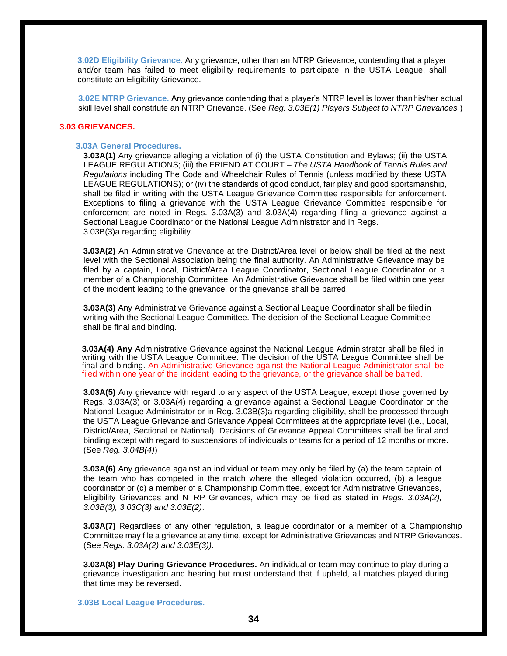**3.02D Eligibility Grievance.** Any grievance, other than an NTRP Grievance, contending that a player and/or team has failed to meet eligibility requirements to participate in the USTA League, shall constitute an Eligibility Grievance.

**3.02E NTRP Grievance.** Any grievance contending that a player's NTRP level is lower thanhis/her actual skill level shall constitute an NTRP Grievance. (See *Reg. 3.03E(1) Players Subject to NTRP Grievances.*)

# **3.03 GRIEVANCES.**

# **3.03A General Procedures.**

**3.03A(1)** Any grievance alleging a violation of (i) the USTA Constitution and Bylaws; (ii) the USTA LEAGUE REGULATIONS; (iii) the FRIEND AT COURT *– The USTA Handbook of Tennis Rules and Regulations* including The Code and Wheelchair Rules of Tennis (unless modified by these USTA LEAGUE REGULATIONS); or (iv) the standards of good conduct, fair play and good sportsmanship, shall be filed in writing with the USTA League Grievance Committee responsible for enforcement. Exceptions to filing a grievance with the USTA League Grievance Committee responsible for enforcement are noted in Regs. 3.03A(3) and 3.03A(4) regarding filing a grievance against a Sectional League Coordinator or the National League Administrator and in Regs. 3.03B(3)a regarding eligibility.

**3.03A(2)** An Administrative Grievance at the District/Area level or below shall be filed at the next level with the Sectional Association being the final authority. An Administrative Grievance may be filed by a captain, Local, District/Area League Coordinator, Sectional League Coordinator or a member of a Championship Committee. An Administrative Grievance shall be filed within one year of the incident leading to the grievance, or the grievance shall be barred.

**3.03A(3)** Any Administrative Grievance against a Sectional League Coordinator shall be filedin writing with the Sectional League Committee. The decision of the Sectional League Committee shall be final and binding.

**3.03A(4) Any** Administrative Grievance against the National League Administrator shall be filed in writing with the USTA League Committee. The decision of the USTA League Committee shall be final and binding. An Administrative Grievance against the National League Administrator shall be filed within one year of the incident leading to the grievance, or the grievance shall be barred.

**3.03A(5)** Any grievance with regard to any aspect of the USTA League, except those governed by Regs. 3.03A(3) or 3.03A(4) regarding a grievance against a Sectional League Coordinator or the National League Administrator or in Reg. 3.03B(3)a regarding eligibility, shall be processed through the USTA League Grievance and Grievance Appeal Committees at the appropriate level (i.e., Local, District/Area, Sectional or National). Decisions of Grievance Appeal Committees shall be final and binding except with regard to suspensions of individuals or teams for a period of 12 months or more. (See *Reg. 3.04B(4)*)

**3.03A(6)** Any grievance against an individual or team may only be filed by (a) the team captain of the team who has competed in the match where the alleged violation occurred, (b) a league coordinator or (c) a member of a Championship Committee, except for Administrative Grievances, Eligibility Grievances and NTRP Grievances, which may be filed as stated in *Regs. 3.03A(2), 3.03B(3), 3.03C(3) and 3.03E(2)*.

**3.03A(7)** Regardless of any other regulation, a league coordinator or a member of a Championship Committee may file a grievance at any time, except for Administrative Grievances and NTRP Grievances. (See *Regs. 3.03A(2) and 3.03E(3)).*

**3.03A(8) Play During Grievance Procedures.** An individual or team may continue to play during a grievance investigation and hearing but must understand that if upheld, all matches played during that time may be reversed.

**3.03B Local League Procedures.**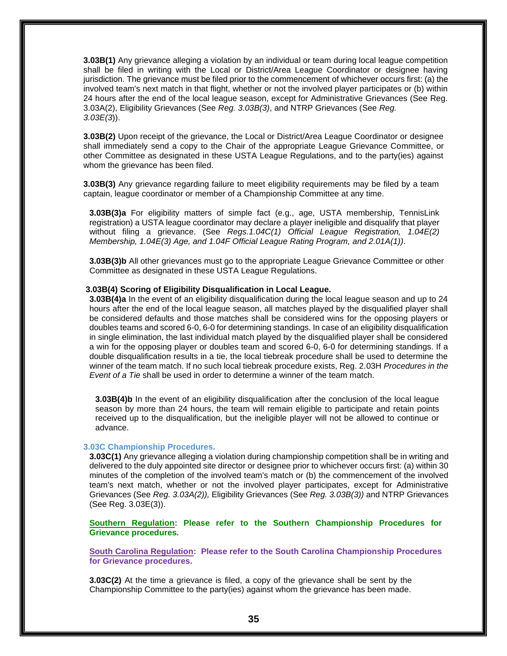**3.03B(1)** Any grievance alleging a violation by an individual or team during local league competition shall be filed in writing with the Local or District/Area League Coordinator or designee having jurisdiction. The grievance must be filed prior to the commencement of whichever occurs first: (a) the involved team's next match in that flight, whether or not the involved player participates or (b) within 24 hours after the end of the local league season, except for Administrative Grievances (See Reg. 3.03A(2), Eligibility Grievances (See *Reg. 3.03B(3)*, and NTRP Grievances (See *Reg. 3.03E(3*)).

**3.03B(2)** Upon receipt of the grievance, the Local or District/Area League Coordinator or designee shall immediately send a copy to the Chair of the appropriate League Grievance Committee, or other Committee as designated in these USTA League Regulations, and to the party(ies) against whom the grievance has been filed.

**3.03B(3)** Any grievance regarding failure to meet eligibility requirements may be filed by a team captain, league coordinator or member of a Championship Committee at any time.

**3.03B(3)a** For eligibility matters of simple fact (e.g., age, USTA membership, TennisLink registration) a USTA league coordinator may declare a player ineligible and disqualify that player without filing a grievance. (See *Regs.1.04C(1) Official League Registration, 1.04E(2) Membership, 1.04E(3) Age, and 1.04F Official League Rating Program, and 2.01A(1))*.

**3.03B(3)b** All other grievances must go to the appropriate League Grievance Committee or other Committee as designated in these USTA League Regulations.

# **3.03B(4) Scoring of Eligibility Disqualification in Local League.**

**3.03B(4)a** In the event of an eligibility disqualification during the local league season and up to 24 hours after the end of the local league season, all matches played by the disqualified player shall be considered defaults and those matches shall be considered wins for the opposing players or doubles teams and scored 6-0, 6-0 for determining standings. In case of an eligibility disqualification in single elimination, the last individual match played by the disqualified player shall be considered a win for the opposing player or doubles team and scored 6-0, 6-0 for determining standings. If a double disqualification results in a tie, the local tiebreak procedure shall be used to determine the winner of the team match. If no such local tiebreak procedure exists, Reg. 2.03H *Procedures in the Event of a Tie* shall be used in order to determine a winner of the team match.

**3.03B(4)b** In the event of an eligibility disqualification after the conclusion of the local league season by more than 24 hours, the team will remain eligible to participate and retain points received up to the disqualification, but the ineligible player will not be allowed to continue or advance.

# **3.03C Championship Procedures.**

**3.03C(1)** Any grievance alleging a violation during championship competition shall be in writing and delivered to the duly appointed site director or designee prior to whichever occurs first: (a) within 30 minutes of the completion of the involved team's match or (b) the commencement of the involved team's next match, whether or not the involved player participates, except for Administrative Grievances (See *Reg. 3.03A(2)),* Eligibility Grievances (See *Reg. 3.03B(3))* and NTRP Grievances (See Reg. 3.03E(3)).

**Southern Regulation: Please refer to the Southern Championship Procedures for Grievance procedures.** 

**South Carolina Regulation: Please refer to the South Carolina Championship Procedures for Grievance procedures.**

**3.03C(2)** At the time a grievance is filed, a copy of the grievance shall be sent by the Championship Committee to the party(ies) against whom the grievance has been made.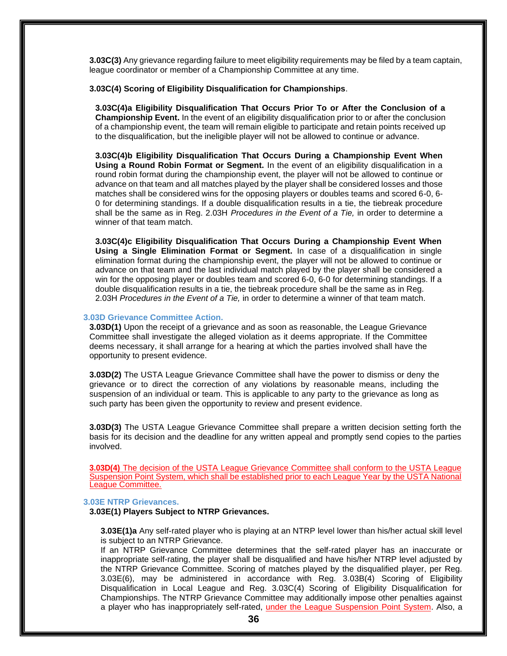**3.03C(3)** Any grievance regarding failure to meet eligibility requirements may be filed by a team captain, league coordinator or member of a Championship Committee at any time.

# **3.03C(4) Scoring of Eligibility Disqualification for Championships**.

**3.03C(4)a Eligibility Disqualification That Occurs Prior To or After the Conclusion of a Championship Event.** In the event of an eligibility disqualification prior to or after the conclusion of a championship event, the team will remain eligible to participate and retain points received up to the disqualification, but the ineligible player will not be allowed to continue or advance.

**3.03C(4)b Eligibility Disqualification That Occurs During a Championship Event When Using a Round Robin Format or Segment.** In the event of an eligibility disqualification in a round robin format during the championship event, the player will not be allowed to continue or advance on that team and all matches played by the player shall be considered losses and those matches shall be considered wins for the opposing players or doubles teams and scored 6-0, 6- 0 for determining standings. If a double disqualification results in a tie, the tiebreak procedure shall be the same as in Reg. 2.03H *Procedures in the Event of a Tie,* in order to determine a winner of that team match.

**3.03C(4)c Eligibility Disqualification That Occurs During a Championship Event When Using a Single Elimination Format or Segment.** In case of a disqualification in single elimination format during the championship event, the player will not be allowed to continue or advance on that team and the last individual match played by the player shall be considered a win for the opposing player or doubles team and scored 6-0, 6-0 for determining standings. If a double disqualification results in a tie, the tiebreak procedure shall be the same as in Reg. 2.03H *Procedures in the Event of a Tie,* in order to determine a winner of that team match.

#### **3.03D Grievance Committee Action.**

**3.03D(1)** Upon the receipt of a grievance and as soon as reasonable, the League Grievance Committee shall investigate the alleged violation as it deems appropriate. If the Committee deems necessary, it shall arrange for a hearing at which the parties involved shall have the opportunity to present evidence.

**3.03D(2)** The USTA League Grievance Committee shall have the power to dismiss or deny the grievance or to direct the correction of any violations by reasonable means, including the suspension of an individual or team. This is applicable to any party to the grievance as long as such party has been given the opportunity to review and present evidence.

**3.03D(3)** The USTA League Grievance Committee shall prepare a written decision setting forth the basis for its decision and the deadline for any written appeal and promptly send copies to the parties involved.

**3.03D(4)** The decision of the USTA League Grievance Committee shall conform to the USTA League Suspension Point System, which shall be established prior to each League Year by the USTA National League Committee.

#### **3.03E NTRP Grievances.**

#### **3.03E(1) Players Subject to NTRP Grievances.**

**3.03E(1)a** Any self-rated player who is playing at an NTRP level lower than his/her actual skill level is subject to an NTRP Grievance.

If an NTRP Grievance Committee determines that the self-rated player has an inaccurate or inappropriate self-rating, the player shall be disqualified and have his/her NTRP level adjusted by the NTRP Grievance Committee. Scoring of matches played by the disqualified player, per Reg. 3.03E(6), may be administered in accordance with Reg. 3.03B(4) Scoring of Eligibility Disqualification in Local League and Reg. 3.03C(4) Scoring of Eligibility Disqualification for Championships. The NTRP Grievance Committee may additionally impose other penalties against a player who has inappropriately self-rated, under the League Suspension Point System. Also, a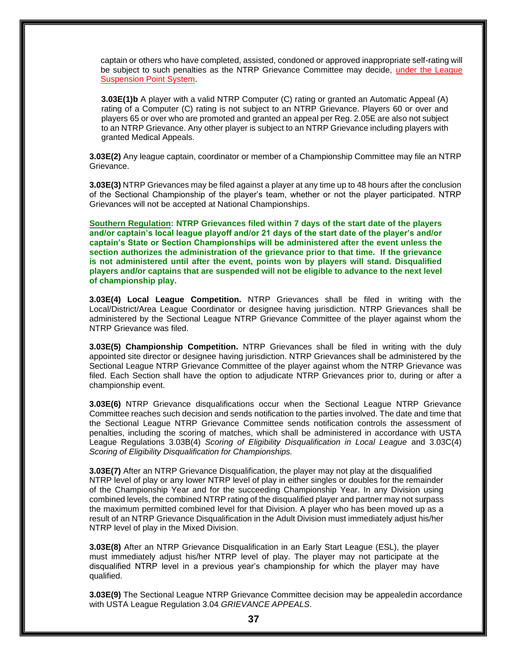captain or others who have completed, assisted, condoned or approved inappropriate self-rating will be subject to such penalties as the NTRP Grievance Committee may decide, under the League Suspension Point System.

**3.03E(1)b** A player with a valid NTRP Computer (C) rating or granted an Automatic Appeal (A) rating of a Computer (C) rating is not subject to an NTRP Grievance. Players 60 or over and players 65 or over who are promoted and granted an appeal per Reg. 2.05E are also not subject to an NTRP Grievance. Any other player is subject to an NTRP Grievance including players with granted Medical Appeals.

**3.03E(2)** Any league captain, coordinator or member of a Championship Committee may file an NTRP Grievance.

**3.03E(3)** NTRP Grievances may be filed against a player at any time up to 48 hours after the conclusion of the Sectional Championship of the player's team, whether or not the player participated. NTRP Grievances will not be accepted at National Championships.

**Southern Regulation: NTRP Grievances filed within 7 days of the start date of the players and/or captain's local league playoff and/or 21 days of the start date of the player's and/or captain's State or Section Championships will be administered after the event unless the section authorizes the administration of the grievance prior to that time. If the grievance is not administered until after the event, points won by players will stand. Disqualified players and/or captains that are suspended will not be eligible to advance to the next level of championship play.**

**3.03E(4) Local League Competition.** NTRP Grievances shall be filed in writing with the Local/District/Area League Coordinator or designee having jurisdiction. NTRP Grievances shall be administered by the Sectional League NTRP Grievance Committee of the player against whom the NTRP Grievance was filed.

**3.03E(5) Championship Competition.** NTRP Grievances shall be filed in writing with the duly appointed site director or designee having jurisdiction. NTRP Grievances shall be administered by the Sectional League NTRP Grievance Committee of the player against whom the NTRP Grievance was filed. Each Section shall have the option to adjudicate NTRP Grievances prior to, during or after a championship event.

**3.03E(6)** NTRP Grievance disqualifications occur when the Sectional League NTRP Grievance Committee reaches such decision and sends notification to the parties involved. The date and time that the Sectional League NTRP Grievance Committee sends notification controls the assessment of penalties, including the scoring of matches, which shall be administered in accordance with USTA League Regulations 3.03B(4) *Scoring of Eligibility Disqualification in Local League* and 3.03C(4) *Scoring of Eligibility Disqualification for Championships.*

**3.03E(7)** After an NTRP Grievance Disqualification, the player may not play at the disqualified NTRP level of play or any lower NTRP level of play in either singles or doubles for the remainder of the Championship Year and for the succeeding Championship Year. In any Division using combined levels, the combined NTRP rating of the disqualified player and partner may not surpass the maximum permitted combined level for that Division. A player who has been moved up as a result of an NTRP Grievance Disqualification in the Adult Division must immediately adjust his/her NTRP level of play in the Mixed Division.

**3.03E(8)** After an NTRP Grievance Disqualification in an Early Start League (ESL), the player must immediately adjust his/her NTRP level of play. The player may not participate at the disqualified NTRP level in a previous year's championship for which the player may have qualified.

**3.03E(9)** The Sectional League NTRP Grievance Committee decision may be appealedin accordance with USTA League Regulation 3.04 *GRIEVANCE APPEALS*.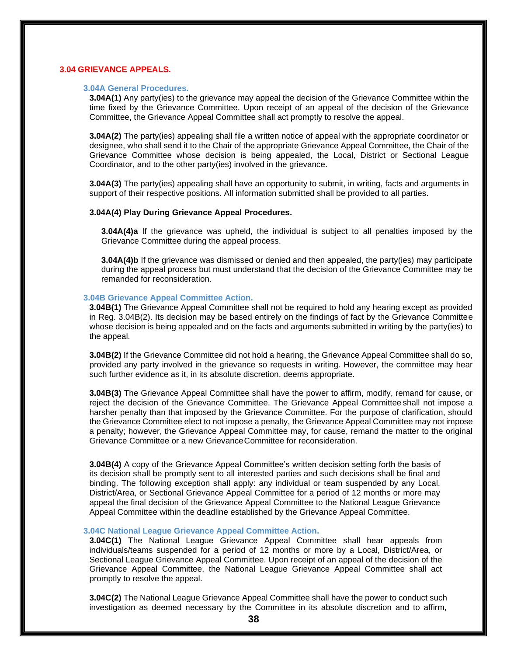# **3.04 GRIEVANCE APPEALS.**

# **3.04A General Procedures.**

**3.04A(1)** Any party(ies) to the grievance may appeal the decision of the Grievance Committee within the time fixed by the Grievance Committee. Upon receipt of an appeal of the decision of the Grievance Committee, the Grievance Appeal Committee shall act promptly to resolve the appeal.

**3.04A(2)** The party(ies) appealing shall file a written notice of appeal with the appropriate coordinator or designee, who shall send it to the Chair of the appropriate Grievance Appeal Committee, the Chair of the Grievance Committee whose decision is being appealed, the Local, District or Sectional League Coordinator, and to the other party(ies) involved in the grievance.

**3.04A(3)** The party(ies) appealing shall have an opportunity to submit, in writing, facts and arguments in support of their respective positions. All information submitted shall be provided to all parties.

# **3.04A(4) Play During Grievance Appeal Procedures.**

**3.04A(4)a** If the grievance was upheld, the individual is subject to all penalties imposed by the Grievance Committee during the appeal process.

**3.04A(4)b** If the grievance was dismissed or denied and then appealed, the party(ies) may participate during the appeal process but must understand that the decision of the Grievance Committee may be remanded for reconsideration.

# **3.04B Grievance Appeal Committee Action.**

**3.04B(1)** The Grievance Appeal Committee shall not be required to hold any hearing except as provided in Reg. 3.04B(2). Its decision may be based entirely on the findings of fact by the Grievance Committee whose decision is being appealed and on the facts and arguments submitted in writing by the party(ies) to the appeal.

**3.04B(2)** If the Grievance Committee did not hold a hearing, the Grievance Appeal Committee shall do so, provided any party involved in the grievance so requests in writing. However, the committee may hear such further evidence as it, in its absolute discretion, deems appropriate.

**3.04B(3)** The Grievance Appeal Committee shall have the power to affirm, modify, remand for cause, or reject the decision of the Grievance Committee. The Grievance Appeal Committee shall not impose a harsher penalty than that imposed by the Grievance Committee. For the purpose of clarification, should the Grievance Committee elect to not impose a penalty, the Grievance Appeal Committee may not impose a penalty; however, the Grievance Appeal Committee may, for cause, remand the matter to the original Grievance Committee or a new GrievanceCommittee for reconsideration.

**3.04B(4)** A copy of the Grievance Appeal Committee's written decision setting forth the basis of its decision shall be promptly sent to all interested parties and such decisions shall be final and binding. The following exception shall apply: any individual or team suspended by any Local, District/Area, or Sectional Grievance Appeal Committee for a period of 12 months or more may appeal the final decision of the Grievance Appeal Committee to the National League Grievance Appeal Committee within the deadline established by the Grievance Appeal Committee.

#### **3.04C National League Grievance Appeal Committee Action.**

**3.04C(1)** The National League Grievance Appeal Committee shall hear appeals from individuals/teams suspended for a period of 12 months or more by a Local, District/Area, or Sectional League Grievance Appeal Committee. Upon receipt of an appeal of the decision of the Grievance Appeal Committee, the National League Grievance Appeal Committee shall act promptly to resolve the appeal.

**3.04C(2)** The National League Grievance Appeal Committee shall have the power to conduct such investigation as deemed necessary by the Committee in its absolute discretion and to affirm,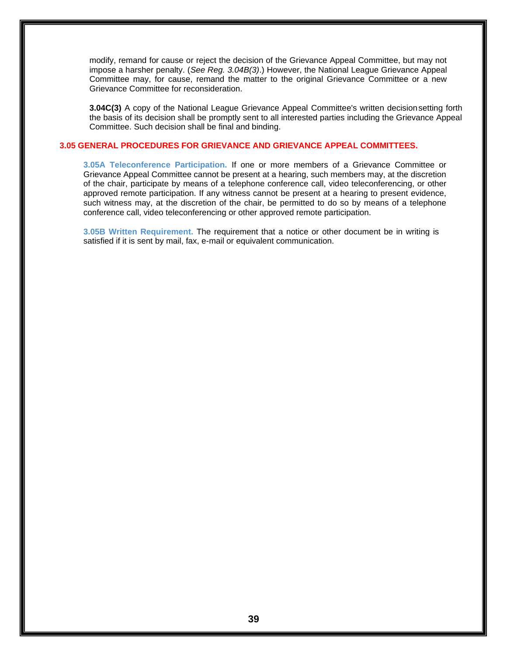modify, remand for cause or reject the decision of the Grievance Appeal Committee, but may not impose a harsher penalty. (*See Reg. 3.04B(3)*.) However, the National League Grievance Appeal Committee may, for cause, remand the matter to the original Grievance Committee or a new Grievance Committee for reconsideration.

**3.04C(3)** A copy of the National League Grievance Appeal Committee's written decisionsetting forth the basis of its decision shall be promptly sent to all interested parties including the Grievance Appeal Committee. Such decision shall be final and binding.

# **3.05 GENERAL PROCEDURES FOR GRIEVANCE AND GRIEVANCE APPEAL COMMITTEES.**

**3.05A Teleconference Participation.** If one or more members of a Grievance Committee or Grievance Appeal Committee cannot be present at a hearing, such members may, at the discretion of the chair, participate by means of a telephone conference call, video teleconferencing, or other approved remote participation. If any witness cannot be present at a hearing to present evidence, such witness may, at the discretion of the chair, be permitted to do so by means of a telephone conference call, video teleconferencing or other approved remote participation.

**3.05B Written Requirement.** The requirement that a notice or other document be in writing is satisfied if it is sent by mail, fax, e-mail or equivalent communication.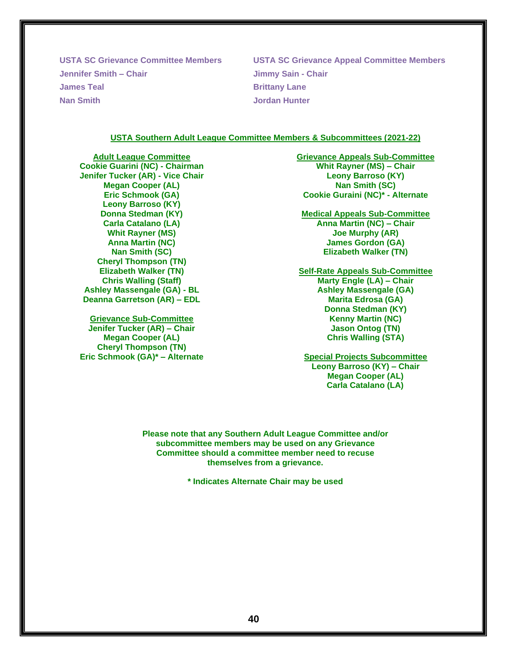**Jennifer Smith – Chair Jimmy Sain - Chair James Teal Brittany Lane Nan Smith Jordan Hunter**

**USTA SC Grievance Committee Members USTA SC Grievance Appeal Committee Members**

#### **USTA Southern Adult League Committee Members & Subcommittees (2021-22)**

**Adult League Committee Cookie Guarini (NC) - Chairman Jenifer Tucker (AR) - Vice Chair Megan Cooper (AL) Eric Schmook (GA) Leony Barroso (KY) Donna Stedman (KY) Carla Catalano (LA) Whit Rayner (MS) Anna Martin (NC) Nan Smith (SC) Cheryl Thompson (TN) Elizabeth Walker (TN) Chris Walling (Staff) Ashley Massengale (GA) - BL Deanna Garretson (AR) – EDL**

**Grievance Sub-Committee Jenifer Tucker (AR) – Chair Megan Cooper (AL) Cheryl Thompson (TN) Eric Schmook (GA)\* – Alternate** **Grievance Appeals Sub-Committee Whit Rayner (MS) – Chair Leony Barroso (KY) Nan Smith (SC) Cookie Guraini (NC)\* - Alternate**

**Medical Appeals Sub-Committee Anna Martin (NC) – Chair Joe Murphy (AR) James Gordon (GA) Elizabeth Walker (TN)**

**Self-Rate Appeals Sub-Committee Marty Engle (LA) – Chair Ashley Massengale (GA) Marita Edrosa (GA) Donna Stedman (KY) Kenny Martin (NC) Jason Ontog (TN) Chris Walling (STA)**

**Special Projects Subcommittee Leony Barroso (KY) – Chair Megan Cooper (AL) Carla Catalano (LA)**

**Please note that any Southern Adult League Committee and/or subcommittee members may be used on any Grievance Committee should a committee member need to recuse themselves from a grievance.**

**\* Indicates Alternate Chair may be used**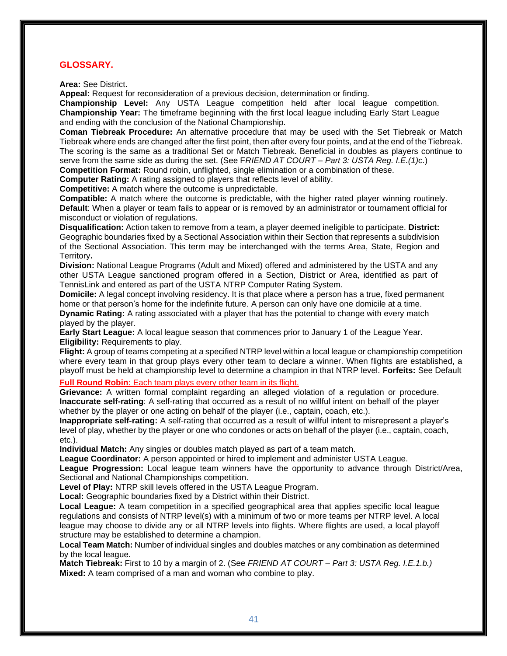# **GLOSSARY.**

**Area:** See District.

**Appeal:** Request for reconsideration of a previous decision, determination or finding.

**Championship Level:** Any USTA League competition held after local league competition. **Championship Year:** The timeframe beginning with the first local league including Early Start League and ending with the conclusion of the National Championship.

**Coman Tiebreak Procedure:** An alternative procedure that may be used with the Set Tiebreak or Match Tiebreak where ends are changed after the first point, then after every four points, and at the end of the Tiebreak. The scoring is the same as a traditional Set or Match Tiebreak. Beneficial in doubles as players continue to serve from the same side as during the set. (See F*RIEND AT COURT – Part 3: USTA Reg. I.E.(1)c.*)

**Competition Format:** Round robin, unflighted, single elimination or a combination of these.

**Computer Rating:** A rating assigned to players that reflects level of ability.

**Competitive:** A match where the outcome is unpredictable.

**Compatible:** A match where the outcome is predictable, with the higher rated player winning routinely. **Default**: When a player or team fails to appear or is removed by an administrator or tournament official for misconduct or violation of regulations.

**Disqualification:** Action taken to remove from a team, a player deemed ineligible to participate. **District:**  Geographic boundaries fixed by a Sectional Association within their Section that represents a subdivision of the Sectional Association. This term may be interchanged with the terms Area, State, Region and Territory**.**

**Division:** National League Programs (Adult and Mixed) offered and administered by the USTA and any other USTA League sanctioned program offered in a Section, District or Area, identified as part of TennisLink and entered as part of the USTA NTRP Computer Rating System.

**Domicile:** A legal concept involving residency. It is that place where a person has a true, fixed permanent home or that person's home for the indefinite future. A person can only have one domicile at a time. **Dynamic Rating:** A rating associated with a player that has the potential to change with every match

played by the player.

**Early Start League:** A local league season that commences prior to January 1 of the League Year. **Eligibility:** Requirements to play.

**Flight:** A group of teams competing at a specified NTRP level within a local league or championship competition where every team in that group plays every other team to declare a winner. When flights are established, a playoff must be held at championship level to determine a champion in that NTRP level. **Forfeits:** See Default

**Full Round Robin:** Each team plays every other team in its flight.

**Grievance:** A written formal complaint regarding an alleged violation of a regulation or procedure. **Inaccurate self-rating**: A self-rating that occurred as a result of no willful intent on behalf of the player whether by the player or one acting on behalf of the player (i.e., captain, coach, etc.).

**Inappropriate self-rating:** A self-rating that occurred as a result of willful intent to misrepresent a player's level of play, whether by the player or one who condones or acts on behalf of the player (i.e., captain, coach, etc.).

**Individual Match:** Any singles or doubles match played as part of a team match.

**League Coordinator:** A person appointed or hired to implement and administer USTA League.

**League Progression:** Local league team winners have the opportunity to advance through District/Area, Sectional and National Championships competition.

**Level of Play:** NTRP skill levels offered in the USTA League Program.

**Local:** Geographic boundaries fixed by a District within their District.

**Local League:** A team competition in a specified geographical area that applies specific local league regulations and consists of NTRP level(s) with a minimum of two or more teams per NTRP level. A local league may choose to divide any or all NTRP levels into flights. Where flights are used, a local playoff structure may be established to determine a champion.

**Local Team Match:** Number of individual singles and doubles matches or any combination as determined by the local league.

**Match Tiebreak:** First to 10 by a margin of 2. (See *FRIEND AT COURT – Part 3: USTA Reg. I.E.1.b.)* **Mixed:** A team comprised of a man and woman who combine to play.